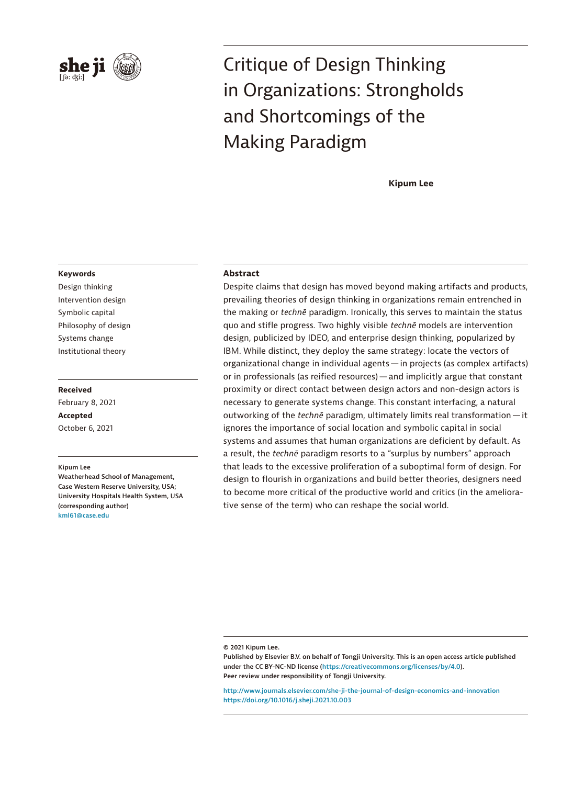

# Critique of Design Thinking in Organizations: Strongholds and Shortcomings of the Making Paradigm

**Kipum Lee**

### **Keywords**

Design thinking Intervention design Symbolic capital Philosophy of design Systems change Institutional theory

### **Received**

February 8, 2021 **Accepted** October 6, 2021

**Kipum Lee**

**Weatherhead School of Management, Case Western Reserve University, USA; University Hospitals Health System, USA (corresponding author) kml61@case.edu**

# **Abstract**

Despite claims that design has moved beyond making artifacts and products, prevailing theories of design thinking in organizations remain entrenched in the making or *technē* paradigm. Ironically, this serves to maintain the status quo and stifle progress. Two highly visible *technē* models are intervention design, publicized by IDEO, and enterprise design thinking, popularized by IBM. While distinct, they deploy the same strategy: locate the vectors of organizational change in individual agents—in projects (as complex artifacts) or in professionals (as reified resources)—and implicitly argue that constant proximity or direct contact between design actors and non-design actors is necessary to generate systems change. This constant interfacing, a natural outworking of the *technē* paradigm, ultimately limits real transformation—it ignores the importance of social location and symbolic capital in social systems and assumes that human organizations are deficient by default. As a result, the *technē* paradigm resorts to a "surplus by numbers" approach that leads to the excessive proliferation of a suboptimal form of design. For design to flourish in organizations and build better theories, designers need to become more critical of the productive world and critics (in the ameliorative sense of the term) who can reshape the social world.

**© 2021 Kipum Lee.**

**<http://www.journals.elsevier.com/she-ji-the-journal-of-design-economics-and-innovation> https://doi.org/10.1016/j.sheji.2021.10.003**

**Published by Elsevier B.V. on behalf of Tongji University. This is an open access article published under the CC BY-NC-ND license (https://creativecommons.org/licenses/by/4.0). Peer review under responsibility of Tongji University.**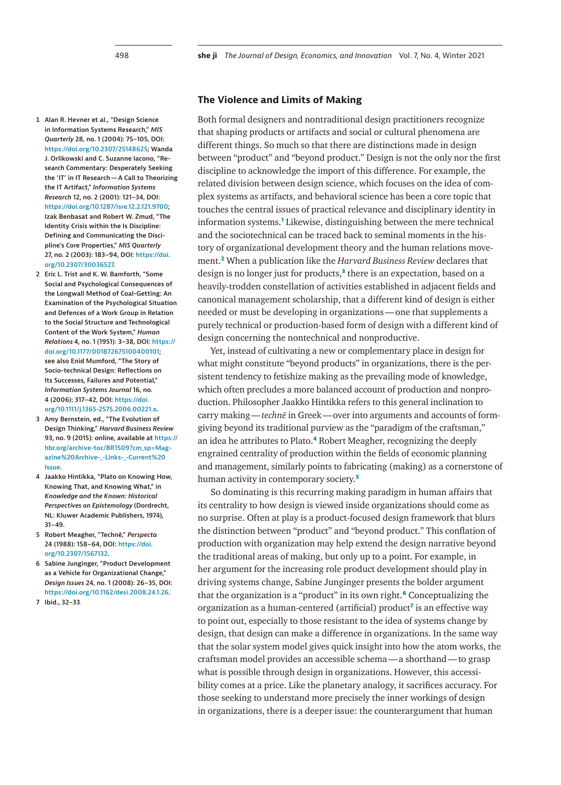- <span id="page-1-0"></span>**1 Alan R. Hevner et al., "Design Science in Information Systems Research,"** *MIS Quarterly* **28, no. 1 (2004): 75–105, DOI: <https://doi.org/10.2307/25148625>; Wanda J. Orlikowski and C. Suzanne Iacono, "Research Commentary: Desperately Seeking the 'IT' in IT Research—A Call to Theorizing the IT Artifact,"** *Information Systems Research* **12, no. 2 (2001): 121–34, DOI: [https://doi.org/10.1287/isre.12.2.121.9700;](https://doi.org/10.1287/isre.12.2.121.9700) Izak Benbasat and Robert W. Zmud, "The Identity Crisis within the Is Discipline: Defining and Communicating the Discipline's Core Properties,"** *MIS Quarterly* **27, no. 2 (2003): 183–94, DOI: [https://doi.](https://doi.org/10.2307/30036527) [org/10.2307/30036527.](https://doi.org/10.2307/30036527)**
- <span id="page-1-1"></span>**2 Eric L. Trist and K. W. Bamforth, "Some Social and Psychological Consequences of the Longwall Method of Coal-Getting: An Examination of the Psychological Situation and Defences of a Work Group in Relation to the Social Structure and Technological Content of the Work System,"** *Human Relations* **4, no. 1 (1951): 3–38, DOI: [https://](https://doi.org/10.1177/001872675100400101) [doi.org/10.1177/001872675100400101](https://doi.org/10.1177/001872675100400101); see also Enid Mumford, "The Story of Socio-technical Design: Reflections on Its Successes, Failures and Potential,"**  *Information Systems Journal* **16, no. 4 (2006): 317–42, DOI: [https://doi.](https://doi.org/10.1111/j.1365-2575.2006.00221.x) [org/10.1111/j.1365-2575.2006.00221.x](https://doi.org/10.1111/j.1365-2575.2006.00221.x).**
- <span id="page-1-2"></span>**3 Amy Bernstein, ed., "The Evolution of Design Thinking,"** *Harvard Business Review* **93, no. 9 (2015): online, available at [https://](https://hbr.org/archive-toc/BR1509?cm_sp=Magazine%20Archive-_-Links-_-Current%20Issue) [hbr.org/archive-toc/BR1509?cm\\_sp=Mag](https://hbr.org/archive-toc/BR1509?cm_sp=Magazine%20Archive-_-Links-_-Current%20Issue)[azine%20Archive-\\_-Links-\\_-Current%20](https://hbr.org/archive-toc/BR1509?cm_sp=Magazine%20Archive-_-Links-_-Current%20Issue) [Issue.](https://hbr.org/archive-toc/BR1509?cm_sp=Magazine%20Archive-_-Links-_-Current%20Issue)**
- <span id="page-1-3"></span>**4 Jaakko Hintikka, "Plato on Knowing How, Knowing That, and Knowing What," in**  *Knowledge and the Known: Historical Perspectives on Epistemology* **(Dordrecht, NL: Kluwer Academic Publishers, 1974), 31–49.**
- <span id="page-1-4"></span>**5 Robert Meagher, "Technê,"** *Perspecta*  **24 (1988): 158–64, DOI: [https://doi.](https://doi.org/10.2307/1567132) [org/10.2307/1567132.](https://doi.org/10.2307/1567132)**
- <span id="page-1-5"></span>**6 Sabine Junginger, "Product Development as a Vehicle for Organizational Change,"**  *Design Issues* **24, no. 1 (2008): 26–35, DOI: <https://doi.org/10.1162/desi.2008.24.1.26>.**
- <span id="page-1-6"></span>**7 Ibid., 32–33**.

# **The Violence and Limits of Making**

Both formal designers and nontraditional design practitioners recognize that shaping products or artifacts and social or cultural phenomena are different things. So much so that there are distinctions made in design between "product" and "beyond product." Design is not the only nor the first discipline to acknowledge the import of this difference. For example, the related division between design science, which focuses on the idea of complex systems as artifacts, and behavioral science has been a core topic that touches the central issues of practical relevance and disciplinary identity in information systems.**[1](#page-1-0)** Likewise, distinguishing between the mere technical and the sociotechnical can be traced back to seminal moments in the history of organizational development theory and the human relations movement.**[2](#page-1-1)** When a publication like the *Harvard Business Review* declares that design is no longer just for products,**[3](#page-1-2)** there is an expectation, based on a heavily-trodden constellation of activities established in adjacent fields and canonical management scholarship, that a different kind of design is either needed or must be developing in organizations—one that supplements a purely technical or production-based form of design with a different kind of design concerning the nontechnical and nonproductive.

Yet, instead of cultivating a new or complementary place in design for what might constitute "beyond products" in organizations, there is the persistent tendency to fetishize making as the prevailing mode of knowledge, which often precludes a more balanced account of production and nonproduction. Philosopher Jaakko Hintikka refers to this general inclination to carry making—*technē* in Greek—over into arguments and accounts of formgiving beyond its traditional purview as the "paradigm of the craftsman," an idea he attributes to Plato.**[4](#page-1-3)** Robert Meagher, recognizing the deeply engrained centrality of production within the fields of economic planning and management, similarly points to fabricating (making) as a cornerstone of human activity in contemporary society.**[5](#page-1-4)**

So dominating is this recurring making paradigm in human affairs that its centrality to how design is viewed inside organizations should come as no surprise. Often at play is a product-focused design framework that blurs the distinction between "product" and "beyond product." This conflation of production with organization may help extend the design narrative beyond the traditional areas of making, but only up to a point. For example, in her argument for the increasing role product development should play in driving systems change, Sabine Junginger presents the bolder argument that the organization is a "product" in its own right.**[6](#page-1-5)** Conceptualizing the organization as a human-centered (artificial) product**[7](#page-1-6)** is an effective way to point out, especially to those resistant to the idea of systems change by design, that design can make a difference in organizations. In the same way that the solar system model gives quick insight into how the atom works, the craftsman model provides an accessible schema—a shorthand—to grasp what is possible through design in organizations. However, this accessibility comes at a price. Like the planetary analogy, it sacrifices accuracy. For those seeking to understand more precisely the inner workings of design in organizations, there is a deeper issue: the counterargument that human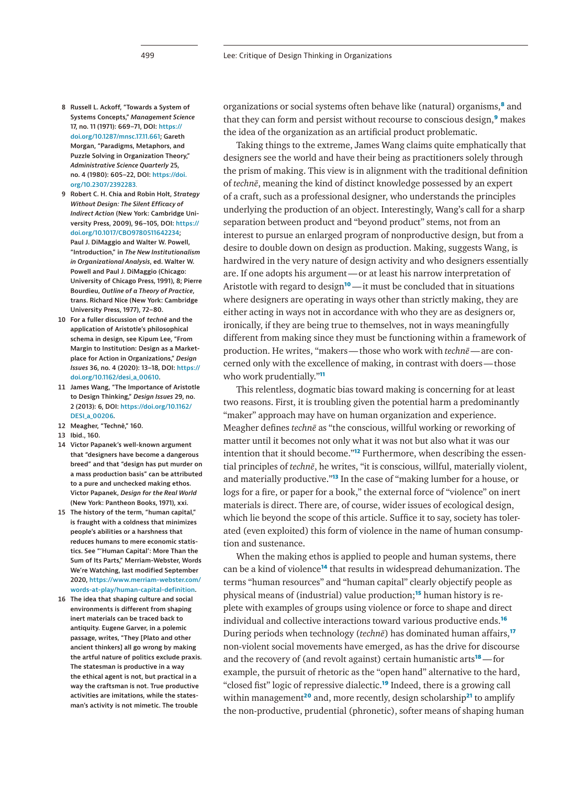- 
- <span id="page-2-0"></span>**8 Russell L. Ackoff, "Towards a System of Systems Concepts,"** *Management Science* **17, no. 11 (1971): 669–71, DOI: [https://](https://doi.org/10.1287/mnsc.17.11.661) [doi.org/10.1287/mnsc.17.11.661;](https://doi.org/10.1287/mnsc.17.11.661) Gareth Morgan, "Paradigms, Metaphors, and Puzzle Solving in Organization Theory,"**  *Administrative Science Quarterly* **25, no. 4 (1980): 605–22, DOI: [https://doi.](https://doi.org/10.2307/2392283) [org/10.2307/2392283](https://doi.org/10.2307/2392283)**.
- <span id="page-2-1"></span>**9 Robert C. H. Chia and Robin Holt,** *Strategy Without Design: The Silent Efficacy of Indirect Action* **(New York: Cambridge University Press, 2009), 96–105, DOI: [https://](https://doi.org/10.1017/CBO9780511642234) [doi.org/10.1017/CBO9780511642234](https://doi.org/10.1017/CBO9780511642234); Paul J. DiMaggio and Walter W. Powell, "Introduction," in** *The New Institutionalism in Organizational Analysis***, ed. Walter W. Powell and Paul J. DiMaggio (Chicago: University of Chicago Press, 1991), 8; Pierre Bourdieu,** *Outline of a Theory of Practice***, trans. Richard Nice (New York: Cambridge University Press, 1977), 72–80.**
- <span id="page-2-2"></span>**10 For a fuller discussion of** *technē* **and the application of Aristotle's philosophical schema in design, see Kipum Lee, "From Margin to Institution: Design as a Marketplace for Action in Organizations,"** *Design Issues* **36, no. 4 (2020): 13–18, DOI: [https://](https://doi.org/10.1162/desi_a_00610) [doi.org/10.1162/desi\\_a\\_00610.](https://doi.org/10.1162/desi_a_00610)**
- <span id="page-2-3"></span>**11 James Wang, "The Importance of Aristotle to Design Thinking,"** *Design Issues* **29, no. 2 (2013): 6, DOI: [https://doi.org/10.1162/](https://doi.org/10.1162/DESI_a_00206) [DESI\\_a\\_00206.](https://doi.org/10.1162/DESI_a_00206)**
- <span id="page-2-4"></span>**12 Meagher, "Technê," 160.**
- <span id="page-2-5"></span>**13 Ibid., 160.**
- <span id="page-2-6"></span>**14 Victor Papanek's well-known argument that "designers have become a dangerous breed" and that "design has put murder on a mass production basis" can be attributed to a pure and unchecked making ethos. Victor Papanek,** *Design for the Real World* **(New York: Pantheon Books, 1971), xxi.**
- <span id="page-2-7"></span>**15 The history of the term, "human capital," is fraught with a coldness that minimizes people's abilities or a harshness that reduces humans to mere economic statistics. See "'Human Capital': More Than the Sum of Its Parts," Merriam-Webster, Words We're Watching, last modified September 2020, [https://www.merriam-webster.com/](https://www.merriam-webster.com/words-at-play/human-capital-definition) [words-at-play/human-capital-definition](https://www.merriam-webster.com/words-at-play/human-capital-definition).**
- <span id="page-2-8"></span>**16 The idea that shaping culture and social environments is different from shaping inert materials can be traced back to antiquity. Eugene Garver, in a polemic passage, writes, "They [Plato and other ancient thinkers] all go wrong by making the artful nature of politics exclude praxis. The statesman is productive in a way the ethical agent is not, but practical in a way the craftsman is not. True productive activities are imitations, while the statesman's activity is not mimetic. The trouble**

organizations or social systems often behave like (natural) organisms,**[8](#page-2-0)** and that they can form and persist without recourse to conscious design,**[9](#page-2-1)** makes the idea of the organization as an artificial product problematic.

Taking things to the extreme, James Wang claims quite emphatically that designers see the world and have their being as practitioners solely through the prism of making. This view is in alignment with the traditional definition of *technē*, meaning the kind of distinct knowledge possessed by an expert of a craft, such as a professional designer, who understands the principles underlying the production of an object. Interestingly, Wang's call for a sharp separation between product and "beyond product" stems, not from an interest to pursue an enlarged program of nonproductive design, but from a desire to double down on design as production. Making, suggests Wang, is hardwired in the very nature of design activity and who designers essentially are. If one adopts his argument—or at least his narrow interpretation of Aristotle with regard to design**[10](#page-2-2)**—it must be concluded that in situations where designers are operating in ways other than strictly making, they are either acting in ways not in accordance with who they are as designers or, ironically, if they are being true to themselves, not in ways meaningfully different from making since they must be functioning within a framework of production. He writes, "makers—those who work with *technē*—are concerned only with the excellence of making, in contrast with doers—those who work prudentially."**[11](#page-2-3)**

This relentless, dogmatic bias toward making is concerning for at least two reasons. First, it is troubling given the potential harm a predominantly "maker" approach may have on human organization and experience. Meagher defines *technē* as "the conscious, willful working or reworking of matter until it becomes not only what it was not but also what it was our intention that it should become."**[12](#page-2-4)** Furthermore, when describing the essential principles of *technē*, he writes, "it is conscious, willful, materially violent, and materially productive."**[13](#page-2-5)** In the case of "making lumber for a house, or logs for a fire, or paper for a book," the external force of "violence" on inert materials is direct. There are, of course, wider issues of ecological design, which lie beyond the scope of this article. Suffice it to say, society has tolerated (even exploited) this form of violence in the name of human consumption and sustenance.

When the making ethos is applied to people and human systems, there can be a kind of violence**[14](#page-2-6)** that results in widespread dehumanization. The terms "human resources" and "human capital" clearly objectify people as physical means of (industrial) value production;**[15](#page-2-7)** human history is replete with examples of groups using violence or force to shape and direct individual and collective interactions toward various productive ends.**[16](#page-2-8)** During periods when technology (*technē*) has dominated human affairs,**[17](#page-3-0)** non-violent social movements have emerged, as has the drive for discourse and the recovery of (and revolt against) certain humanistic arts**[18](#page-3-1)**—for example, the pursuit of rhetoric as the "open hand" alternative to the hard, "closed fist" logic of repressive dialectic.**[19](#page-3-2)** Indeed, there is a growing call within management<sup>[20](#page-3-3)</sup> and, more recently, design scholarship<sup>[21](#page-3-4)</sup> to amplify the non-productive, prudential (phronetic), softer means of shaping human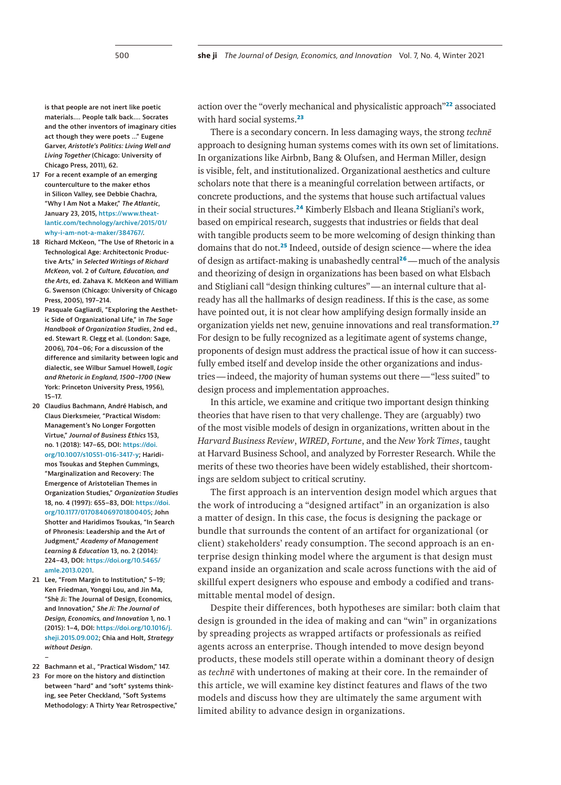**is that people are not inert like poetic materials.… People talk back.… Socrates and the other inventors of imaginary cities act though they were poets …" Eugene Garver,** *Aristotle's Politics: Living Well and Living Together* **(Chicago: University of Chicago Press, 2011), 62.**

- <span id="page-3-0"></span>**17 For a recent example of an emerging counterculture to the maker ethos in Silicon Valley, see Debbie Chachra, "Why I Am Not a Maker,"** *The Atlantic***, January 23, 2015, [https://www.theat](https://www.theatlantic.com/technology/archive/2015/01/why-i-am-not-a-maker/384767/)[lantic.com/technology/archive/2015/01/](https://www.theatlantic.com/technology/archive/2015/01/why-i-am-not-a-maker/384767/) [why-i-am-not-a-maker/384767/](https://www.theatlantic.com/technology/archive/2015/01/why-i-am-not-a-maker/384767/).**
- <span id="page-3-1"></span>**18 Richard McKeon, "The Use of Rhetoric in a Technological Age: Architectonic Productive Arts," in** *Selected Writings of Richard McKeon***, vol. 2 of** *Culture, Education, and the Arts***, ed. Zahava K. McKeon and William G. Swenson (Chicago: University of Chicago Press, 2005), 197–214.**
- <span id="page-3-2"></span>**19 Pasquale Gagliardi, "Exploring the Aesthetic Side of Organizational Life," in** *The Sage Handbook of Organization Studies***, 2nd ed., ed. Stewart R. Clegg et al. (London: Sage, 2006), 704–06; For a discussion of the difference and similarity between logic and dialectic, see Wilbur Samuel Howell,** *Logic and Rhetoric in England, 1500–1700* **(New York: Princeton University Press, 1956), 15–17.**
- <span id="page-3-3"></span>**20 Claudius Bachmann, André Habisch, and Claus Dierksmeier, "Practical Wisdom: Management's No Longer Forgotten Virtue,"** *Journal of Business Ethics* **153, no. 1 (2018): 147–65, DOI: [https://doi.](https://doi.org/10.1007/s10551-016-3417-y) [org/10.1007/s10551-016-3417-y](https://doi.org/10.1007/s10551-016-3417-y); Haridimos Tsoukas and Stephen Cummings, "Marginalization and Recovery: The Emergence of Aristotelian Themes in Organization Studies,"** *Organization Studies* **18, no. 4 (1997): 655–83, DOI: [https://doi.](https://doi.org/10.1177/017084069701800405) [org/10.1177/017084069701800405;](https://doi.org/10.1177/017084069701800405) John Shotter and Haridimos Tsoukas, "In Search of Phronesis: Leadership and the Art of Judgment,"** *Academy of Management Learning & Education* **13, no. 2 (2014): 224–43, DOI: [https://doi.org/10.5465/](https://doi.org/10.5465/amle.2013.0201) [amle.2013.0201](https://doi.org/10.5465/amle.2013.0201).**
- <span id="page-3-4"></span>**21 Lee, "From Margin to Institution," 5–19; Ken Friedman, Yongqi Lou, and Jin Ma, "Shè Jì: The Journal of Design, Economics, and Innovation,"** *She Ji: The Journal of Design, Economics, and Innovation* **1, no. 1 (2015): 1–4, DOI: [https://doi.org/10.1016/j.](https://doi.org/10.1016/j.sheji.2015.09.002) [sheji.2015.09.002;](https://doi.org/10.1016/j.sheji.2015.09.002) Chia and Holt,** *Strategy without Design***.**
- **22 Bachmann et al., "Practical Wisdom," 147.**

<span id="page-3-6"></span><span id="page-3-5"></span>**–**

**23 For more on the history and distinction between "hard" and "soft" systems thinking, see Peter Checkland, "Soft Systems Methodology: A Thirty Year Retrospective,"**  action over the "overly mechanical and physicalistic approach"**[22](#page-3-5)** associated with hard social systems.**[23](#page-3-6)**

There is a secondary concern. In less damaging ways, the strong *technē*  approach to designing human systems comes with its own set of limitations. In organizations like Airbnb, Bang & Olufsen, and Herman Miller, design is visible, felt, and institutionalized. Organizational aesthetics and culture scholars note that there is a meaningful correlation between artifacts, or concrete productions, and the systems that house such artifactual values in their social structures.**[24](#page-4-0)** Kimberly Elsbach and Ileana Stigliani's work, based on empirical research, suggests that industries or fields that deal with tangible products seem to be more welcoming of design thinking than domains that do not.**[25](#page-4-1)** Indeed, outside of design science—where the idea of design as artifact-making is unabashedly central**[26](#page-4-2)**—much of the analysis and theorizing of design in organizations has been based on what Elsbach and Stigliani call "design thinking cultures"—an internal culture that already has all the hallmarks of design readiness. If this is the case, as some have pointed out, it is not clear how amplifying design formally inside an organization yields net new, genuine innovations and real transformation.**[27](#page-4-3)** For design to be fully recognized as a legitimate agent of systems change, proponents of design must address the practical issue of how it can successfully embed itself and develop inside the other organizations and industries—indeed, the majority of human systems out there—"less suited" to design process and implementation approaches.

In this article, we examine and critique two important design thinking theories that have risen to that very challenge. They are (arguably) two of the most visible models of design in organizations, written about in the *Harvard Business Review*, *WIRED*, *Fortune*, and the *New York Times*, taught at Harvard Business School, and analyzed by Forrester Research. While the merits of these two theories have been widely established, their shortcomings are seldom subject to critical scrutiny.

The first approach is an intervention design model which argues that the work of introducing a "designed artifact" in an organization is also a matter of design. In this case, the focus is designing the package or bundle that surrounds the content of an artifact for organizational (or client) stakeholders' ready consumption. The second approach is an enterprise design thinking model where the argument is that design must expand inside an organization and scale across functions with the aid of skillful expert designers who espouse and embody a codified and transmittable mental model of design.

Despite their differences, both hypotheses are similar: both claim that design is grounded in the idea of making and can "win" in organizations by spreading projects as wrapped artifacts or professionals as reified agents across an enterprise. Though intended to move design beyond products, these models still operate within a dominant theory of design as *technē* with undertones of making at their core. In the remainder of this article, we will examine key distinct features and flaws of the two models and discuss how they are ultimately the same argument with limited ability to advance design in organizations.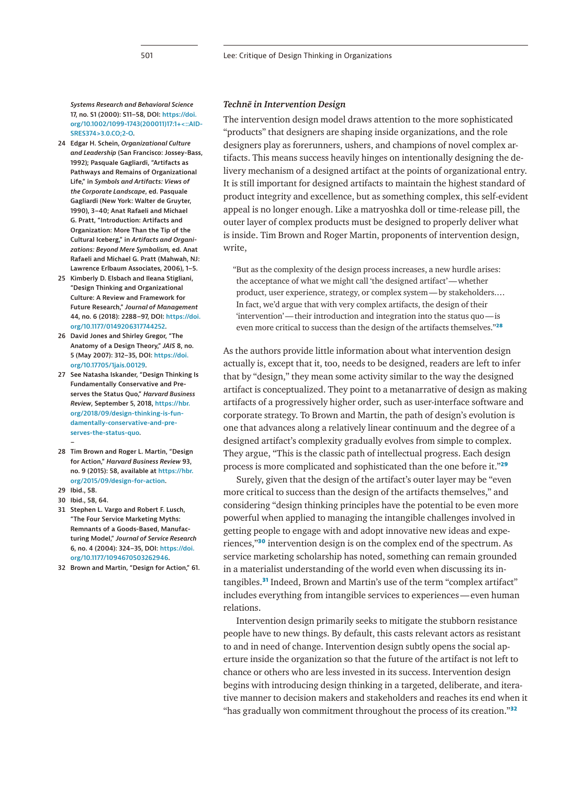*Systems Research and Behavioral Science*  **17, no. S1 (2000): S11–58, DOI: [https://doi.](https://doi.org/10.1002/1099-1743(200011)17:1+%3c::AID-SRES374%3e3.0.CO;2-O) [org/10.1002/1099-1743\(200011\)17:1+<::AID-](https://doi.org/10.1002/1099-1743(200011)17:1+%3c::AID-SRES374%3e3.0.CO;2-O)[SRES374>3.0.CO;2-O](https://doi.org/10.1002/1099-1743(200011)17:1+%3c::AID-SRES374%3e3.0.CO;2-O).**

- <span id="page-4-0"></span>**24 Edgar H. Schein,** *Organizational Culture and Leadership* **(San Francisco: Jossey-Bass, 1992); Pasquale Gagliardi, "Artifacts as Pathways and Remains of Organizational Life," in** *Symbols and Artifacts: Views of the Corporate Landscape***, ed. Pasquale Gagliardi (New York: Walter de Gruyter, 1990), 3–40; Anat Rafaeli and Michael G. Pratt, "Introduction: Artifacts and Organization: More Than the Tip of the Cultural Iceberg," in** *Artifacts and Organizations: Beyond Mere Symbolism,* **ed. Anat Rafaeli and Michael G. Pratt (Mahwah, NJ: Lawrence Erlbaum Associates, 2006), 1–5.**
- <span id="page-4-1"></span>**25 Kimberly D. Elsbach and Ileana Stigliani, "Design Thinking and Organizational Culture: A Review and Framework for Future Research,"** *Journal of Management*  **44, no. 6 (2018): 2288–97, DOI: [https://doi.](https://doi.org/10.1177/0149206317744252) [org/10.1177/0149206317744252.](https://doi.org/10.1177/0149206317744252)**
- <span id="page-4-2"></span>**26 David Jones and Shirley Gregor, "The Anatomy of a Design Theory,"** *JAIS* **8, no. 5 (May 2007): 312–35, DOI: [https://doi.](https://doi.org/10.17705/1jais.00129) [org/10.17705/1jais.00129.](https://doi.org/10.17705/1jais.00129)**
- <span id="page-4-3"></span>**27 See Natasha Iskander, "Design Thinking Is Fundamentally Conservative and Preserves the Status Quo,"** *Harvard Business Review***, September 5, 2018, [https://hbr.](https://hbr.org/2018/09/design-thinking-is-fundamentally-conservative-and-preserves-the-status-quo) [org/2018/09/design-thinking-is-fun](https://hbr.org/2018/09/design-thinking-is-fundamentally-conservative-and-preserves-the-status-quo)[damentally-conservative-and-pre](https://hbr.org/2018/09/design-thinking-is-fundamentally-conservative-and-preserves-the-status-quo)[serves-the-status-quo.](https://hbr.org/2018/09/design-thinking-is-fundamentally-conservative-and-preserves-the-status-quo)**
- **28 Tim Brown and Roger L. Martin, "Design for Action,"** *Harvard Business Review* **93, no. 9 (2015): 58, available at [https://hbr.](https://hbr.org/2015/09/design-for-action) [org/2015/09/design-for-action.](https://hbr.org/2015/09/design-for-action)**
- <span id="page-4-5"></span>**29 Ibid., 58.**

<span id="page-4-4"></span>**–**

- <span id="page-4-6"></span>**30 Ibid., 58, 64.**
- <span id="page-4-7"></span>**31 Stephen L. Vargo and Robert F. Lusch, "The Four Service Marketing Myths: Remnants of a Goods-Based, Manufacturing Model,"** *Journal of Service Research* **6, no. 4 (2004): 324–35, DOI: [https://doi.](https://doi.org/10.1177/1094670503262946) [org/10.1177/1094670503262946](https://doi.org/10.1177/1094670503262946).**
- <span id="page-4-8"></span>**32 Brown and Martin, "Design for Action," 61.**

# *Technē in Intervention Design*

The intervention design model draws attention to the more sophisticated "products" that designers are shaping inside organizations, and the role designers play as forerunners, ushers, and champions of novel complex artifacts. This means success heavily hinges on intentionally designing the delivery mechanism of a designed artifact at the points of organizational entry. It is still important for designed artifacts to maintain the highest standard of product integrity and excellence, but as something complex, this self-evident appeal is no longer enough. Like a matryoshka doll or time-release pill, the outer layer of complex products must be designed to properly deliver what is inside. Tim Brown and Roger Martin, proponents of intervention design, write,

"But as the complexity of the design process increases, a new hurdle arises: the acceptance of what we might call 'the designed artifact'—whether product, user experience, strategy, or complex system—by stakeholders.… In fact, we'd argue that with very complex artifacts, the design of their 'intervention'—their introduction and integration into the status quo—is even more critical to success than the design of the artifacts themselves."**[28](#page-4-4)**

As the authors provide little information about what intervention design actually is, except that it, too, needs to be designed, readers are left to infer that by "design," they mean some activity similar to the way the designed artifact is conceptualized. They point to a metanarrative of design as making artifacts of a progressively higher order, such as user-interface software and corporate strategy. To Brown and Martin, the path of design's evolution is one that advances along a relatively linear continuum and the degree of a designed artifact's complexity gradually evolves from simple to complex. They argue, "This is the classic path of intellectual progress. Each design process is more complicated and sophisticated than the one before it."**[29](#page-4-5)**

Surely, given that the design of the artifact's outer layer may be "even more critical to success than the design of the artifacts themselves," and considering "design thinking principles have the potential to be even more powerful when applied to managing the intangible challenges involved in getting people to engage with and adopt innovative new ideas and experiences,"**[30](#page-4-6)** intervention design is on the complex end of the spectrum. As service marketing scholarship has noted, something can remain grounded in a materialist understanding of the world even when discussing its intangibles.**[31](#page-4-7)** Indeed, Brown and Martin's use of the term "complex artifact" includes everything from intangible services to experiences—even human relations.

Intervention design primarily seeks to mitigate the stubborn resistance people have to new things. By default, this casts relevant actors as resistant to and in need of change. Intervention design subtly opens the social aperture inside the organization so that the future of the artifact is not left to chance or others who are less invested in its success. Intervention design begins with introducing design thinking in a targeted, deliberate, and iterative manner to decision makers and stakeholders and reaches its end when it "has gradually won commitment throughout the process of its creation."**[32](#page-4-8)**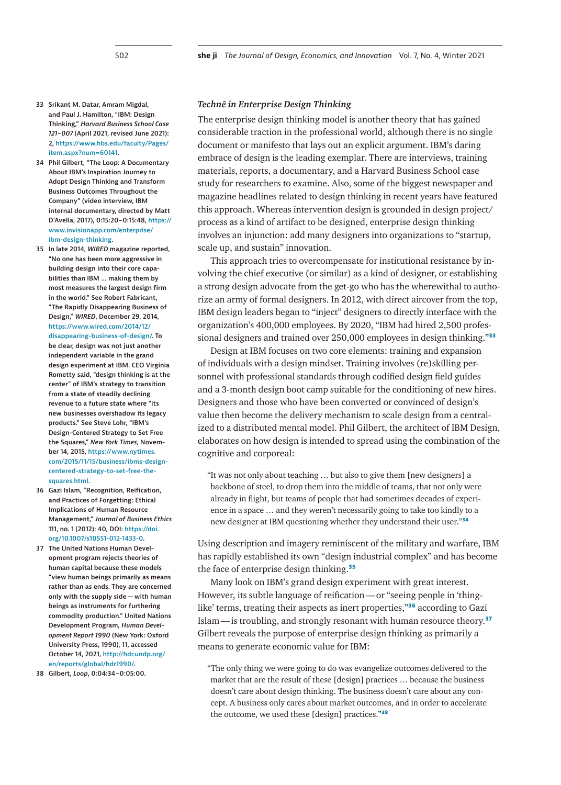- <span id="page-5-0"></span>**33 Srikant M. Datar, Amram Migdal, and Paul J. Hamilton, "IBM: Design Thinking,"** *Harvard Business School Case 121–007* **(April 2021, revised June 2021): 2, [https://www.hbs.edu/faculty/Pages/](https://www.hbs.edu/faculty/Pages/item.aspx?num=60141) [item.aspx?num=60141.](https://www.hbs.edu/faculty/Pages/item.aspx?num=60141)**
- <span id="page-5-1"></span>**34 Phil Gilbert, "The Loop: A Documentary About IBM's Inspiration Journey to Adopt Design Thinking and Transform Business Outcomes Throughout the Company" (video interview, IBM internal documentary, directed by Matt D'Avella, 2017), 0:15:20–0:15:48, [https://](https://www.invisionapp.com/enterprise/ibm-design-thinking) [www.invisionapp.com/enterprise/](https://www.invisionapp.com/enterprise/ibm-design-thinking) [ibm-design-thinking.](https://www.invisionapp.com/enterprise/ibm-design-thinking)**
- <span id="page-5-2"></span>**35 In late 2014,** *WIRED* **magazine reported, "No one has been more aggressive in building design into their core capabilities than IBM … making them by most measures the largest design firm in the world." See Robert Fabricant, "The Rapidly Disappearing Business of Design,"** *WIRED***, December 29, 2014, [https://www.wired.com/2014/12/](https://www.wired.com/2014/12/disappearing-business-of-design/) [disappearing-business-of-design/](https://www.wired.com/2014/12/disappearing-business-of-design/). To be clear, design was not just another independent variable in the grand design experiment at IBM. CEO Virginia Rometty said, "design thinking is at the center" of IBM's strategy to transition from a state of steadily declining revenue to a future state where "its new businesses overshadow its legacy products." See Steve Lohr, "IBM's Design-Centered Strategy to Set Free the Squares,"** *New York Times***, November 14, 2015, [https://www.nytimes.](https://www.nytimes.com/2015/11/15/business/ibms-design-centered-strategy-to-set-free-the-squares.html) [com/2015/11/15/business/ibms-design](https://www.nytimes.com/2015/11/15/business/ibms-design-centered-strategy-to-set-free-the-squares.html)[centered-strategy-to-set-free-the](https://www.nytimes.com/2015/11/15/business/ibms-design-centered-strategy-to-set-free-the-squares.html)[squares.html](https://www.nytimes.com/2015/11/15/business/ibms-design-centered-strategy-to-set-free-the-squares.html).**
- <span id="page-5-3"></span>**36 Gazi Islam, "Recognition, Reification, and Practices of Forgetting: Ethical Implications of Human Resource Management,"** *Journal of Business Ethics* **111, no. 1 (2012): 40, DOI: [https://doi.](https://doi.org/10.1007/s10551-012-1433-0) [org/10.1007/s10551-012-1433-0](https://doi.org/10.1007/s10551-012-1433-0).**
- <span id="page-5-4"></span>**37 The United Nations Human Development program rejects theories of human capital because these models "view human beings primarily as means rather than as ends. They are concerned only with the supply side—with human beings as instruments for furthering commodity production." United Nations Development Program,** *Human Development Report 1990* **(New York: Oxford University Press, 1990), 11, accessed October 14, 2021, [http://hdr.undp.org/](http://hdr.undp.org/en/reports/global/hdr1990/) [en/reports/global/hdr1990/](http://hdr.undp.org/en/reports/global/hdr1990/).**
- <span id="page-5-5"></span>**38 Gilbert,** *Loop***, 0:04:34–0:05:00.**

# *Technē in Enterprise Design Thinking*

The enterprise design thinking model is another theory that has gained considerable traction in the professional world, although there is no single document or manifesto that lays out an explicit argument. IBM's daring embrace of design is the leading exemplar. There are interviews, training materials, reports, a documentary, and a Harvard Business School case study for researchers to examine. Also, some of the biggest newspaper and magazine headlines related to design thinking in recent years have featured this approach. Whereas intervention design is grounded in design project/ process as a kind of artifact to be designed, enterprise design thinking involves an injunction: add many designers into organizations to "startup, scale up, and sustain" innovation.

This approach tries to overcompensate for institutional resistance by involving the chief executive (or similar) as a kind of designer, or establishing a strong design advocate from the get-go who has the wherewithal to authorize an army of formal designers. In 2012, with direct aircover from the top, IBM design leaders began to "inject" designers to directly interface with the organization's 400,000 employees. By 2020, "IBM had hired 2,500 professional designers and trained over 250,000 employees in design thinking."**[33](#page-5-0)**

Design at IBM focuses on two core elements: training and expansion of individuals with a design mindset. Training involves (re)skilling personnel with professional standards through codified design field guides and a 3-month design boot camp suitable for the conditioning of new hires. Designers and those who have been converted or convinced of design's value then become the delivery mechanism to scale design from a centralized to a distributed mental model. Phil Gilbert, the architect of IBM Design, elaborates on how design is intended to spread using the combination of the cognitive and corporeal:

"It was not only about teaching … but also to give them [new designers] a backbone of steel, to drop them into the middle of teams, that not only were already in flight, but teams of people that had sometimes decades of experience in a space … and they weren't necessarily going to take too kindly to a new designer at IBM questioning whether they understand their user."**[34](#page-5-1)**

Using description and imagery reminiscent of the military and warfare, IBM has rapidly established its own "design industrial complex" and has become the face of enterprise design thinking.**[35](#page-5-2)**

Many look on IBM's grand design experiment with great interest. However, its subtle language of reification—or "seeing people in 'thinglike' terms, treating their aspects as inert properties,"**[36](#page-5-3)** according to Gazi Islam—is troubling, and strongly resonant with human resource theory.**[37](#page-5-4)** Gilbert reveals the purpose of enterprise design thinking as primarily a means to generate economic value for IBM:

"The only thing we were going to do was evangelize outcomes delivered to the market that are the result of these [design] practices … because the business doesn't care about design thinking. The business doesn't care about any concept. A business only cares about market outcomes, and in order to accelerate the outcome, we used these [design] practices."**[38](#page-5-5)**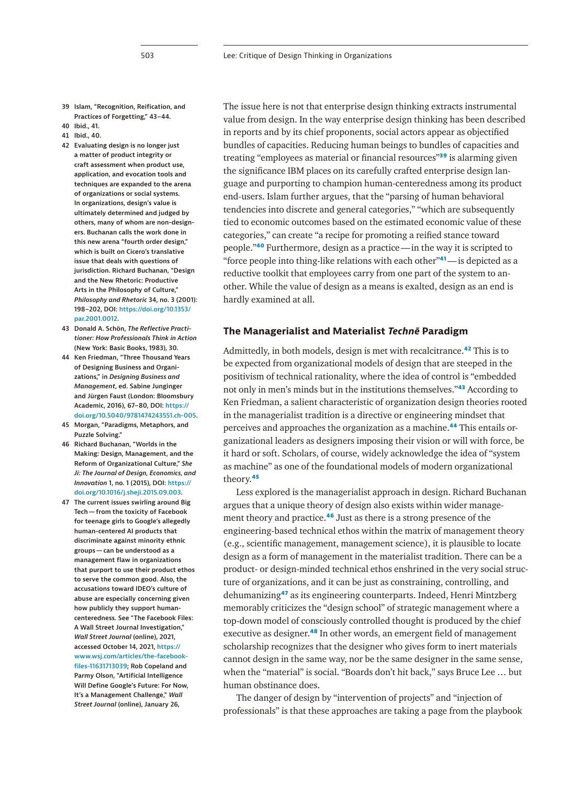- <span id="page-6-0"></span>**39 Islam, "Recognition, Reification, and Practices of Forgetting," 43–44.**
- <span id="page-6-1"></span>**40 Ibid., 41.**
- <span id="page-6-2"></span>**41 Ibid., 40.**
- <span id="page-6-3"></span>**42 Evaluating design is no longer just a matter of product integrity or craft assessment when product use, application, and evocation tools and techniques are expanded to the arena of organizations or social systems. In organizations, design's value is ultimately determined and judged by others, many of whom are non-designers. Buchanan calls the work done in this new arena "fourth order design," which is built on Cicero's translative issue that deals with questions of jurisdiction. Richard Buchanan, "Design and the New Rhetoric: Productive Arts in the Philosophy of Culture,"**  *Philosophy and Rhetoric* **34, no. 3 (2001): 198–202, DOI: [https://doi.org/10.1353/](https://doi.org/10.1353/par.2001.0012) [par.2001.0012.](https://doi.org/10.1353/par.2001.0012)**
- <span id="page-6-4"></span>**43 Donald A. Schön,** *The Reflective Practitioner: How Professionals Think in Action*  **(New York: Basic Books, 1983), 30.**
- <span id="page-6-5"></span>**44 Ken Friedman, "Three Thousand Years of Designing Business and Organizations," in** *Designing Business and Management***, ed. Sabine Junginger and Jürgen Faust (London: Bloomsbury Academic, 2016), 67–80, DOI: [https://](https://doi.org/10.5040/9781474243551.ch-005) [doi.org/10.5040/9781474243551.ch-005](https://doi.org/10.5040/9781474243551.ch-005).**
- <span id="page-6-6"></span>**45 Morgan, "Paradigms, Metaphors, and Puzzle Solving."**
- <span id="page-6-7"></span>**46 Richard Buchanan, "Worlds in the Making: Design, Management, and the Reform of Organizational Culture,"** *She Ji: The Journal of Design, Economics, and Innovation* **1, no. 1 (2015), DOI: [https://](https://doi.org/10.1016/j.sheji.2015.09.003) [doi.org/10.1016/j.sheji.2015.09.003.](https://doi.org/10.1016/j.sheji.2015.09.003)**
- <span id="page-6-8"></span>**47 The current issues swirling around Big Tech—from the toxicity of Facebook for teenage girls to Google's allegedly human-centered AI products that discriminate against minority ethnic groups—can be understood as a management flaw in organizations that purport to use their product ethos to serve the common good. Also, the accusations toward IDEO's culture of abuse are especially concerning given how publicly they support humancenteredness. See "The Facebook Files: A Wall Street Journal Investigation,"**  *Wall Street Journal* **(online), 2021, accessed October 14, 2021, [https://](https://www.wsj.com/articles/the-facebook-files-11631713039) [www.wsj.com/articles/the-facebook](https://www.wsj.com/articles/the-facebook-files-11631713039)[files-11631713039;](https://www.wsj.com/articles/the-facebook-files-11631713039) Rob Copeland and Parmy Olson, "Artificial Intelligence Will Define Google's Future: For Now, It's a Management Challenge,"** *Wall Street Journal* **(online), January 26,**

The issue here is not that enterprise design thinking extracts instrumental value from design. In the way enterprise design thinking has been described in reports and by its chief proponents, social actors appear as objectified bundles of capacities. Reducing human beings to bundles of capacities and treating "employees as material or financial resources"**[39](#page-6-0)** is alarming given the significance IBM places on its carefully crafted enterprise design language and purporting to champion human-centeredness among its product end-users. Islam further argues, that the "parsing of human behavioral tendencies into discrete and general categories," "which are subsequently tied to economic outcomes based on the estimated economic value of these categories," can create "a recipe for promoting a reified stance toward people."**[40](#page-6-1)** Furthermore, design as a practice—in the way it is scripted to "force people into thing-like relations with each other"**[41](#page-6-2)**—is depicted as a reductive toolkit that employees carry from one part of the system to another. While the value of design as a means is exalted, design as an end is hardly examined at all.

# **The Managerialist and Materialist** *Technē* **Paradigm**

Admittedly, in both models, design is met with recalcitrance.**[42](#page-6-3)** This is to be expected from organizational models of design that are steeped in the positivism of technical rationality, where the idea of control is "embedded not only in men's minds but in the institutions themselves."**[43](#page-6-4)** According to Ken Friedman, a salient characteristic of organization design theories rooted in the managerialist tradition is a directive or engineering mindset that perceives and approaches the organization as a machine.**[44](#page-6-5)** This entails organizational leaders as designers imposing their vision or will with force, be it hard or soft. Scholars, of course, widely acknowledge the idea of "system as machine" as one of the foundational models of modern organizational theory.**[45](#page-6-6)**

Less explored is the managerialist approach in design. Richard Buchanan argues that a unique theory of design also exists within wider management theory and practice.**[46](#page-6-7)** Just as there is a strong presence of the engineering-based technical ethos within the matrix of management theory (e.g., scientific management, management science), it is plausible to locate design as a form of management in the materialist tradition. There can be a product- or design-minded technical ethos enshrined in the very social structure of organizations, and it can be just as constraining, controlling, and dehumanizing**[47](#page-6-8)** as its engineering counterparts. Indeed, Henri Mintzberg memorably criticizes the "design school" of strategic management where a top-down model of consciously controlled thought is produced by the chief executive as designer.**[48](#page-7-0)** In other words, an emergent field of management scholarship recognizes that the designer who gives form to inert materials cannot design in the same way, nor be the same designer in the same sense, when the "material" is social. "Boards don't hit back," says Bruce Lee … but human obstinance does.

The danger of design by "intervention of projects" and "injection of professionals" is that these approaches are taking a page from the playbook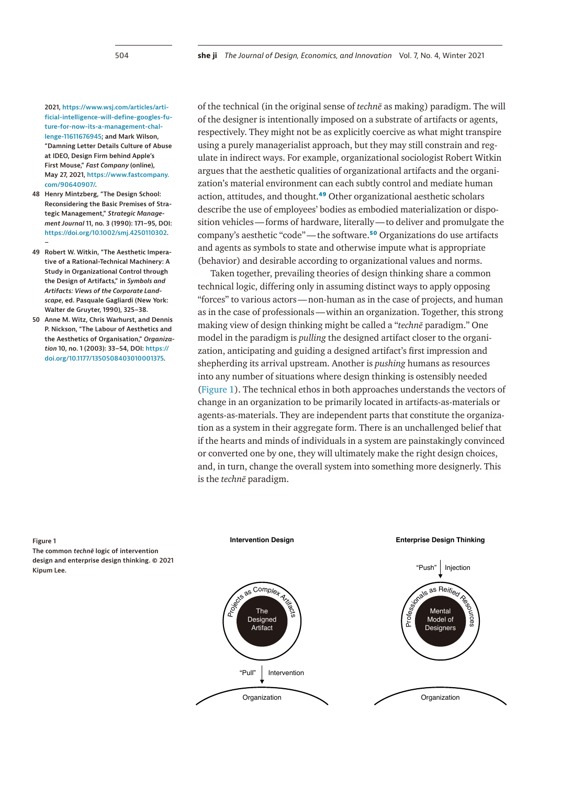**2021, [https://www.wsj.com/articles/arti](https://www.wsj.com/articles/artificial-intelligence-will-define-googles-future-for-now-its-a-management-challenge-11611676945)[ficial-intelligence-will-define-googles-fu](https://www.wsj.com/articles/artificial-intelligence-will-define-googles-future-for-now-its-a-management-challenge-11611676945)[ture-for-now-its-a-management-chal](https://www.wsj.com/articles/artificial-intelligence-will-define-googles-future-for-now-its-a-management-challenge-11611676945)[lenge-11611676945;](https://www.wsj.com/articles/artificial-intelligence-will-define-googles-future-for-now-its-a-management-challenge-11611676945) and Mark Wilson, "Damning Letter Details Culture of Abuse at IDEO, Design Firm behind Apple's First Mouse,"** *Fast Company* **(online), May 27, 2021, [https://www.fastcompany.](https://www.fastcompany.com/90640907/) [com/90640907/](https://www.fastcompany.com/90640907/).**

- <span id="page-7-0"></span>**48 Henry Mintzberg, "The Design School: Reconsidering the Basic Premises of Strategic Management,"** *Strategic Management Journal* **11, no. 3 (1990): 171–95, DOI: https://doi.org/10.1002/smj.4250110302. –**
- <span id="page-7-1"></span>**49 Robert W. Witkin, "The Aesthetic Imperative of a Rational-Technical Machinery: A Study in Organizational Control through the Design of Artifacts," in** *Symbols and Artifacts: Views of the Corporate Landscape***, ed. Pasquale Gagliardi (New York: Walter de Gruyter, 1990), 325–38.**
- <span id="page-7-2"></span>**50 Anne M. Witz, Chris Warhurst, and Dennis P. Nickson, "The Labour of Aesthetics and the Aesthetics of Organisation,"** *Organization* **10, no. 1 (2003): 33–54, DOI: [https://](https://doi.org/10.1177/1350508403010001375) [doi.org/10.1177/1350508403010001375.](https://doi.org/10.1177/1350508403010001375)**

of the technical (in the original sense of *technē* as making) paradigm. The will of the designer is intentionally imposed on a substrate of artifacts or agents, respectively. They might not be as explicitly coercive as what might transpire using a purely managerialist approach, but they may still constrain and regulate in indirect ways. For example, organizational sociologist Robert Witkin argues that the aesthetic qualities of organizational artifacts and the organization's material environment can each subtly control and mediate human action, attitudes, and thought.**[49](#page-7-1)** Other organizational aesthetic scholars describe the use of employees' bodies as embodied materialization or disposition vehicles—forms of hardware, literally—to deliver and promulgate the company's aesthetic "code"—the software.**[50](#page-7-2)** Organizations do use artifacts and agents as symbols to state and otherwise impute what is appropriate (behavior) and desirable according to organizational values and norms.

Taken together, prevailing theories of design thinking share a common technical logic, differing only in assuming distinct ways to apply opposing "forces" to various actors—non-human as in the case of projects, and human as in the case of professionals—within an organization. Together, this strong making view of design thinking might be called a "*technē* paradigm." One model in the paradigm is *pulling* the designed artifact closer to the organization, anticipating and guiding a designed artifact's first impression and shepherding its arrival upstream. Another is *pushing* humans as resources into any number of situations where design thinking is ostensibly needed ([Figure 1\)](#page-7-3). The technical ethos in both approaches understands the vectors of change in an organization to be primarily located in artifacts-as-materials or agents-as-materials. They are independent parts that constitute the organization as a system in their aggregate form. There is an unchallenged belief that if the hearts and minds of individuals in a system are painstakingly convinced or converted one by one, they will ultimately make the right design choices, and, in turn, change the overall system into something more designerly. This is the *technē* paradigm.

<span id="page-7-3"></span>

#### **Figure 1**

**The common** *technē* **logic of intervention design and enterprise design thinking. © 2021 Kipum Lee.**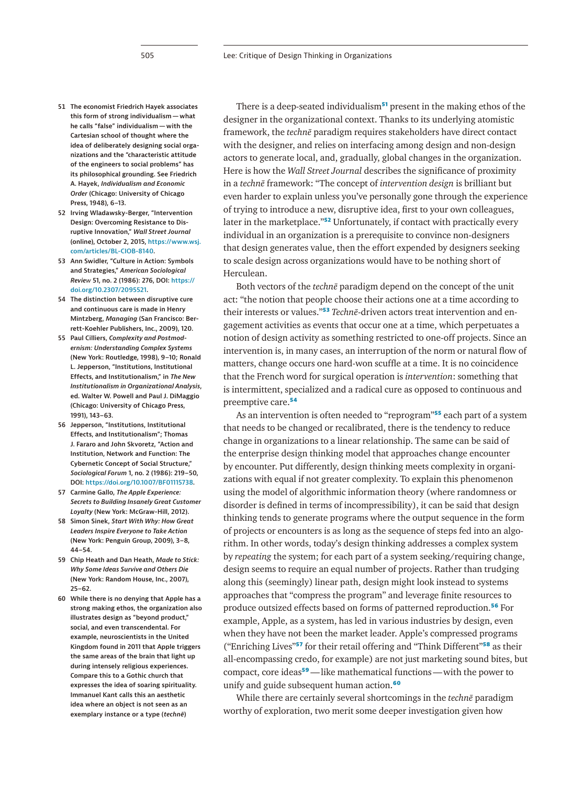- 
- <span id="page-8-0"></span>**51 The economist Friedrich Hayek associates this form of strong individualism—what he calls "false" individualism—with the Cartesian school of thought where the idea of deliberately designing social organizations and the "characteristic attitude of the engineers to social problems" has its philosophical grounding. See Friedrich A. Hayek,** *Individualism and Economic Order* **(Chicago: University of Chicago Press, 1948), 6–13.**
- <span id="page-8-1"></span>**52 Irving Wladawsky-Berger, "Intervention Design: Overcoming Resistance to Disruptive Innovation,"** *Wall Street Journal* **(online), October 2, 2015, [https://www.wsj.](https://www.wsj.com/articles/BL-CIOB-8140) [com/articles/BL-CIOB-8140](https://www.wsj.com/articles/BL-CIOB-8140).**
- <span id="page-8-2"></span>**53 Ann Swidler, "Culture in Action: Symbols and Strategies,"** *American Sociological Review* **51, no. 2 (1986): 276, DOI: [https://](https://doi.org/10.2307/2095521) [doi.org/10.2307/2095521](https://doi.org/10.2307/2095521).**
- <span id="page-8-3"></span>**54 The distinction between disruptive cure and continuous care is made in Henry Mintzberg,** *Managing* **(San Francisco: Berrett-Koehler Publishers, Inc., 2009), 120.**
- <span id="page-8-4"></span>**55 Paul Cilliers,** *Complexity and Postmodernism: Understanding Complex Systems* **(New York: Routledge, 1998), 9–10; Ronald L. Jepperson, "Institutions, Institutional Effects, and Institutionalism," in** *The New Institutionalism in Organizational Analysis***, ed. Walter W. Powell and Paul J. DiMaggio (Chicago: University of Chicago Press, 1991), 143–63.**
- <span id="page-8-5"></span>**56 Jepperson, "Institutions, Institutional Effects, and Institutionalism"; Thomas J. Fararo and John Skvoretz, "Action and Institution, Network and Function: The Cybernetic Concept of Social Structure,"**  *Sociological Forum* **1, no. 2 (1986): 219–50, DOI: <https://doi.org/10.1007/BF01115738>.**
- <span id="page-8-6"></span>**57 Carmine Gallo,** *The Apple Experience: Secrets to Building Insanely Great Customer Loyalty* **(New York: McGraw-Hill, 2012).**
- <span id="page-8-7"></span>**58 Simon Sinek,** *Start With Why: How Great Leaders Inspire Everyone to Take Action* **(New York: Penguin Group, 2009), 3–8, 44–54.**
- <span id="page-8-8"></span>**59 Chip Heath and Dan Heath,** *Made to Stick: Why Some Ideas Survive and Others Die* **(New York: Random House, Inc., 2007), 25–62.**
- <span id="page-8-9"></span>**60 While there is no denying that Apple has a strong making ethos, the organization also illustrates design as "beyond product," social, and even transcendental. For example, neuroscientists in the United Kingdom found in 2011 that Apple triggers the same areas of the brain that light up during intensely religious experiences. Compare this to a Gothic church that expresses the idea of soaring spirituality. Immanuel Kant calls this an aesthetic idea where an object is not seen as an exemplary instance or a type (***technē***)**

There is a deep-seated individualism**[51](#page-8-0)** present in the making ethos of the designer in the organizational context. Thanks to its underlying atomistic framework, the *technē* paradigm requires stakeholders have direct contact with the designer, and relies on interfacing among design and non-design actors to generate local, and, gradually, global changes in the organization. Here is how the *Wall Street Journal* describes the significance of proximity in a *technē* framework: "The concept of *intervention design* is brilliant but even harder to explain unless you've personally gone through the experience of trying to introduce a new, disruptive idea, first to your own colleagues, later in the marketplace."**[52](#page-8-1)** Unfortunately, if contact with practically every individual in an organization is a prerequisite to convince non-designers that design generates value, then the effort expended by designers seeking to scale design across organizations would have to be nothing short of Herculean.

Both vectors of the *technē* paradigm depend on the concept of the unit act: "the notion that people choose their actions one at a time according to their interests or values."**[53](#page-8-2)** *Technē*-driven actors treat intervention and engagement activities as events that occur one at a time, which perpetuates a notion of design activity as something restricted to one-off projects. Since an intervention is, in many cases, an interruption of the norm or natural flow of matters, change occurs one hard-won scuffle at a time. It is no coincidence that the French word for surgical operation is *intervention*: something that is intermittent, specialized and a radical cure as opposed to continuous and preemptive care.**[54](#page-8-3)**

As an intervention is often needed to "reprogram"**[55](#page-8-4)** each part of a system that needs to be changed or recalibrated, there is the tendency to reduce change in organizations to a linear relationship. The same can be said of the enterprise design thinking model that approaches change encounter by encounter. Put differently, design thinking meets complexity in organizations with equal if not greater complexity. To explain this phenomenon using the model of algorithmic information theory (where randomness or disorder is defined in terms of incompressibility), it can be said that design thinking tends to generate programs where the output sequence in the form of projects or encounters is as long as the sequence of steps fed into an algorithm. In other words, today's design thinking addresses a complex system by *repeating* the system; for each part of a system seeking/requiring change, design seems to require an equal number of projects. Rather than trudging along this (seemingly) linear path, design might look instead to systems approaches that "compress the program" and leverage finite resources to produce outsized effects based on forms of patterned reproduction.**[56](#page-8-5)** For example, Apple, as a system, has led in various industries by design, even when they have not been the market leader. Apple's compressed programs ("Enriching Lives"**[57](#page-8-6)** for their retail offering and "Think Different"**[58](#page-8-7)** as their all-encompassing credo, for example) are not just marketing sound bites, but compact, core ideas**[59](#page-8-8)**—like mathematical functions—with the power to unify and guide subsequent human action.**[60](#page-8-9)**

While there are certainly several shortcomings in the *technē* paradigm worthy of exploration, two merit some deeper investigation given how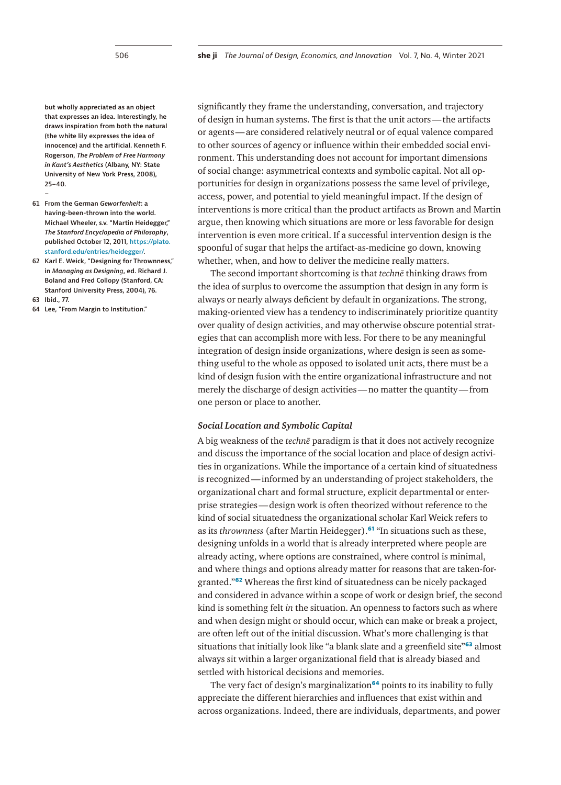**but wholly appreciated as an object that expresses an idea. Interestingly, he draws inspiration from both the natural (the white lily expresses the idea of innocence) and the artificial. Kenneth F. Rogerson,** *The Problem of Free Harmony in Kant's Aesthetics* **(Albany, NY: State University of New York Press, 2008), 25–40.**

- **61 From the German** *Geworfenheit***: a having-been-thrown into the world. Michael Wheeler, s.v. "Martin Heidegger,"**  *The Stanford Encyclopedia of Philosophy***, published October 12, 2011, [https://plato.](https://plato.stanford.edu/entries/heidegger/) [stanford.edu/entries/heidegger/](https://plato.stanford.edu/entries/heidegger/).**
- <span id="page-9-1"></span>**62 Karl E. Weick, "Designing for Thrownness," in** *Managing as Designing***, ed. Richard J. Boland and Fred Collopy (Stanford, CA: Stanford University Press, 2004), 76.**
- <span id="page-9-2"></span>**63 Ibid., 77.**

<span id="page-9-0"></span>**–**

<span id="page-9-3"></span>**64 Lee, "From Margin to Institution."**

significantly they frame the understanding, conversation, and trajectory of design in human systems. The first is that the unit actors—the artifacts or agents—are considered relatively neutral or of equal valence compared to other sources of agency or influence within their embedded social environment. This understanding does not account for important dimensions of social change: asymmetrical contexts and symbolic capital. Not all opportunities for design in organizations possess the same level of privilege, access, power, and potential to yield meaningful impact. If the design of interventions is more critical than the product artifacts as Brown and Martin argue, then knowing which situations are more or less favorable for design intervention is even more critical. If a successful intervention design is the spoonful of sugar that helps the artifact-as-medicine go down, knowing whether, when, and how to deliver the medicine really matters.

The second important shortcoming is that *technē* thinking draws from the idea of surplus to overcome the assumption that design in any form is always or nearly always deficient by default in organizations. The strong, making-oriented view has a tendency to indiscriminately prioritize quantity over quality of design activities, and may otherwise obscure potential strategies that can accomplish more with less. For there to be any meaningful integration of design inside organizations, where design is seen as something useful to the whole as opposed to isolated unit acts, there must be a kind of design fusion with the entire organizational infrastructure and not merely the discharge of design activities—no matter the quantity—from one person or place to another.

## *Social Location and Symbolic Capital*

A big weakness of the *technē* paradigm is that it does not actively recognize and discuss the importance of the social location and place of design activities in organizations. While the importance of a certain kind of situatedness is recognized—informed by an understanding of project stakeholders, the organizational chart and formal structure, explicit departmental or enterprise strategies—design work is often theorized without reference to the kind of social situatedness the organizational scholar Karl Weick refers to as its *thrownness* (after Martin Heidegger).**[61](#page-9-0)** "In situations such as these, designing unfolds in a world that is already interpreted where people are already acting, where options are constrained, where control is minimal, and where things and options already matter for reasons that are taken-forgranted."**[62](#page-9-1)** Whereas the first kind of situatedness can be nicely packaged and considered in advance within a scope of work or design brief, the second kind is something felt *in* the situation. An openness to factors such as where and when design might or should occur, which can make or break a project, are often left out of the initial discussion. What's more challenging is that situations that initially look like "a blank slate and a greenfield site"**[63](#page-9-2)** almost always sit within a larger organizational field that is already biased and settled with historical decisions and memories.

The very fact of design's marginalization**[64](#page-9-3)** points to its inability to fully appreciate the different hierarchies and influences that exist within and across organizations. Indeed, there are individuals, departments, and power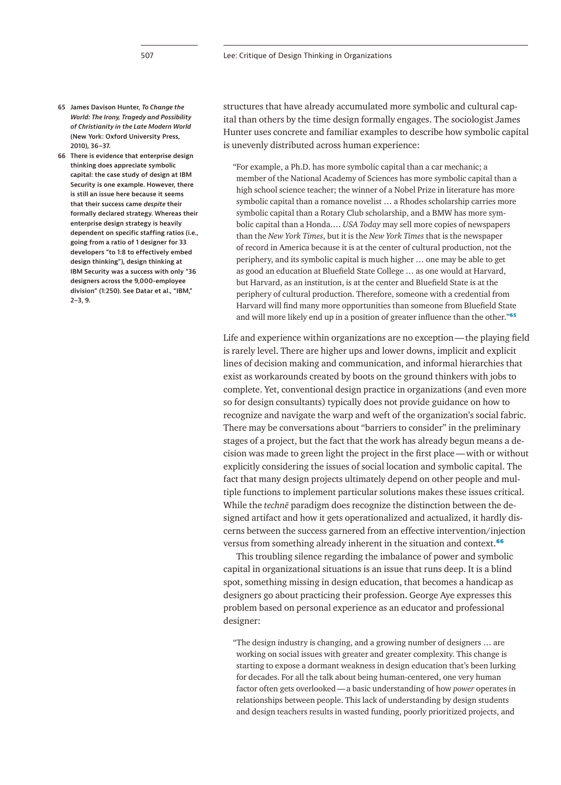- 
- <span id="page-10-0"></span>**65 James Davison Hunter,** *To Change the World: The Irony, Tragedy and Possibility of Christianity in the Late Modern World*  **(New York: Oxford University Press, 2010), 36–37.**
- <span id="page-10-1"></span>**66 There is evidence that enterprise design thinking does appreciate symbolic capital: the case study of design at IBM Security is one example. However, there is still an issue here because it seems that their success came** *despite* **their formally declared strategy. Whereas their enterprise design strategy is heavily dependent on specific staffing ratios (i.e., going from a ratio of 1 designer for 33 developers "to 1:8 to effectively embed design thinking"), design thinking at IBM Security was a success with only "36 designers across the 9,000-employee division" (1:250). See Datar et al., "IBM," 2–3, 9.**

structures that have already accumulated more symbolic and cultural capital than others by the time design formally engages. The sociologist James Hunter uses concrete and familiar examples to describe how symbolic capital is unevenly distributed across human experience:

"For example, a Ph.D. has more symbolic capital than a car mechanic; a member of the National Academy of Sciences has more symbolic capital than a high school science teacher; the winner of a Nobel Prize in literature has more symbolic capital than a romance novelist … a Rhodes scholarship carries more symbolic capital than a Rotary Club scholarship, and a BMW has more symbolic capital than a Honda.… *USA Today* may sell more copies of newspapers than the *New York Times*, but it is the *New York Times* that is the newspaper of record in America because it is at the center of cultural production, not the periphery, and its symbolic capital is much higher … one may be able to get as good an education at Bluefield State College … as one would at Harvard, but Harvard, as an institution, is at the center and Bluefield State is at the periphery of cultural production. Therefore, someone with a credential from Harvard will find many more opportunities than someone from Bluefield State and will more likely end up in a position of greater influence than the other."**[65](#page-10-0)**

Life and experience within organizations are no exception—the playing field is rarely level. There are higher ups and lower downs, implicit and explicit lines of decision making and communication, and informal hierarchies that exist as workarounds created by boots on the ground thinkers with jobs to complete. Yet, conventional design practice in organizations (and even more so for design consultants) typically does not provide guidance on how to recognize and navigate the warp and weft of the organization's social fabric. There may be conversations about "barriers to consider" in the preliminary stages of a project, but the fact that the work has already begun means a decision was made to green light the project in the first place—with or without explicitly considering the issues of social location and symbolic capital. The fact that many design projects ultimately depend on other people and multiple functions to implement particular solutions makes these issues critical. While the *technē* paradigm does recognize the distinction between the designed artifact and how it gets operationalized and actualized, it hardly discerns between the success garnered from an effective intervention/injection versus from something already inherent in the situation and context.**[66](#page-10-1)**

This troubling silence regarding the imbalance of power and symbolic capital in organizational situations is an issue that runs deep. It is a blind spot, something missing in design education, that becomes a handicap as designers go about practicing their profession. George Aye expresses this problem based on personal experience as an educator and professional designer:

"The design industry is changing, and a growing number of designers … are working on social issues with greater and greater complexity. This change is starting to expose a dormant weakness in design education that's been lurking for decades. For all the talk about being human-centered, one very human factor often gets overlooked—a basic understanding of how *power* operates in relationships between people. This lack of understanding by design students and design teachers results in wasted funding, poorly prioritized projects, and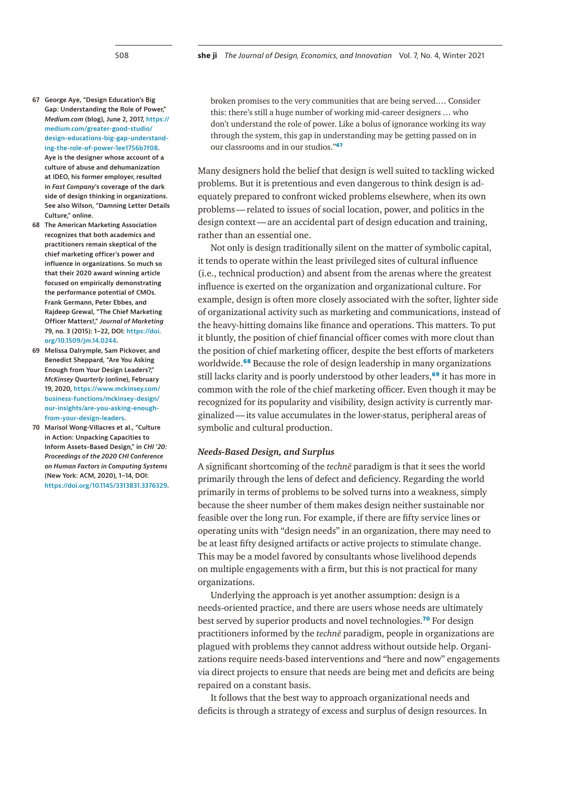- <span id="page-11-0"></span>**67 George Aye, "Design Education's Big Gap: Understanding the Role of Power,"**  *Medium.com* **(blog), June 2, 2017, [https://](https://medium.com/greater-good-studio/design-educations-big-gap-understanding-the-role-of-power-1ee1756b7f08) [medium.com/greater-good-studio/](https://medium.com/greater-good-studio/design-educations-big-gap-understanding-the-role-of-power-1ee1756b7f08) [design-educations-big-gap-understand](https://medium.com/greater-good-studio/design-educations-big-gap-understanding-the-role-of-power-1ee1756b7f08)[ing-the-role-of-power-1ee1756b7f08.](https://medium.com/greater-good-studio/design-educations-big-gap-understanding-the-role-of-power-1ee1756b7f08) Aye is the designer whose account of a culture of abuse and dehumanization at IDEO, his former employer, resulted in** *Fast Company***'s coverage of the dark side of design thinking in organizations. See also Wilson, "Damning Letter Details Culture," online.**
- <span id="page-11-1"></span>**68 The American Marketing Association recognizes that both academics and practitioners remain skeptical of the chief marketing officer's power and influence in organizations. So much so that their 2020 award winning article focused on empirically demonstrating the performance potential of CMOs. Frank Germann, Peter Ebbes, and Rajdeep Grewal, "The Chief Marketing Officer Matters!,"** *Journal of Marketing* **79, no. 3 (2015): 1–22, DOI: [https://doi.](https://doi.org/10.1509/jm.14.0244) [org/10.1509/jm.14.0244.](https://doi.org/10.1509/jm.14.0244)**
- <span id="page-11-2"></span>**69 Melissa Dalrymple, Sam Pickover, and Benedict Sheppard, "Are You Asking Enough from Your Design Leaders?,"**  *McKinsey Quarterly* **(online), February 19, 2020, [https://www.mckinsey.com/](https://www.mckinsey.com/business-functions/mckinsey-design/our-insights/are-you-asking-enough-from-your-design-leaders) [business-functions/mckinsey-design/](https://www.mckinsey.com/business-functions/mckinsey-design/our-insights/are-you-asking-enough-from-your-design-leaders) [our-insights/are-you-asking-enough](https://www.mckinsey.com/business-functions/mckinsey-design/our-insights/are-you-asking-enough-from-your-design-leaders)[from-your-design-leaders.](https://www.mckinsey.com/business-functions/mckinsey-design/our-insights/are-you-asking-enough-from-your-design-leaders)**
- <span id="page-11-3"></span>**70 Marisol Wong-Villacres et al., "Culture in Action: Unpacking Capacities to Inform Assets-Based Design," in** *CHI '20: Proceedings of the 2020 CHI Conference on Human Factors in Computing Systems*  **(New York: ACM, 2020), 1–14, DOI: <https://doi.org/10.1145/3313831.3376329>.**

broken promises to the very communities that are being served.… Consider this: there's still a huge number of working mid-career designers … who don't understand the role of power. Like a bolus of ignorance working its way through the system, this gap in understanding may be getting passed on in our classrooms and in our studios."**[67](#page-11-0)**

Many designers hold the belief that design is well suited to tackling wicked problems. But it is pretentious and even dangerous to think design is adequately prepared to confront wicked problems elsewhere, when its own problems—related to issues of social location, power, and politics in the design context—are an accidental part of design education and training, rather than an essential one.

Not only is design traditionally silent on the matter of symbolic capital, it tends to operate within the least privileged sites of cultural influence (i.e., technical production) and absent from the arenas where the greatest influence is exerted on the organization and organizational culture. For example, design is often more closely associated with the softer, lighter side of organizational activity such as marketing and communications, instead of the heavy-hitting domains like finance and operations. This matters. To put it bluntly, the position of chief financial officer comes with more clout than the position of chief marketing officer, despite the best efforts of marketers worldwide.**[68](#page-11-1)** Because the role of design leadership in many organizations still lacks clarity and is poorly understood by other leaders,**[69](#page-11-2)** it has more in common with the role of the chief marketing officer. Even though it may be recognized for its popularity and visibility, design activity is currently marginalized—its value accumulates in the lower-status, peripheral areas of symbolic and cultural production.

# *Needs-Based Design, and Surplus*

A significant shortcoming of the *technē* paradigm is that it sees the world primarily through the lens of defect and deficiency. Regarding the world primarily in terms of problems to be solved turns into a weakness, simply because the sheer number of them makes design neither sustainable nor feasible over the long run. For example, if there are fifty service lines or operating units with "design needs" in an organization, there may need to be at least fifty designed artifacts or active projects to stimulate change. This may be a model favored by consultants whose livelihood depends on multiple engagements with a firm, but this is not practical for many organizations.

Underlying the approach is yet another assumption: design is a needs-oriented practice, and there are users whose needs are ultimately best served by superior products and novel technologies.**[70](#page-11-3)** For design practitioners informed by the *technē* paradigm, people in organizations are plagued with problems they cannot address without outside help. Organizations require needs-based interventions and "here and now" engagements via direct projects to ensure that needs are being met and deficits are being repaired on a constant basis.

It follows that the best way to approach organizational needs and deficits is through a strategy of excess and surplus of design resources. In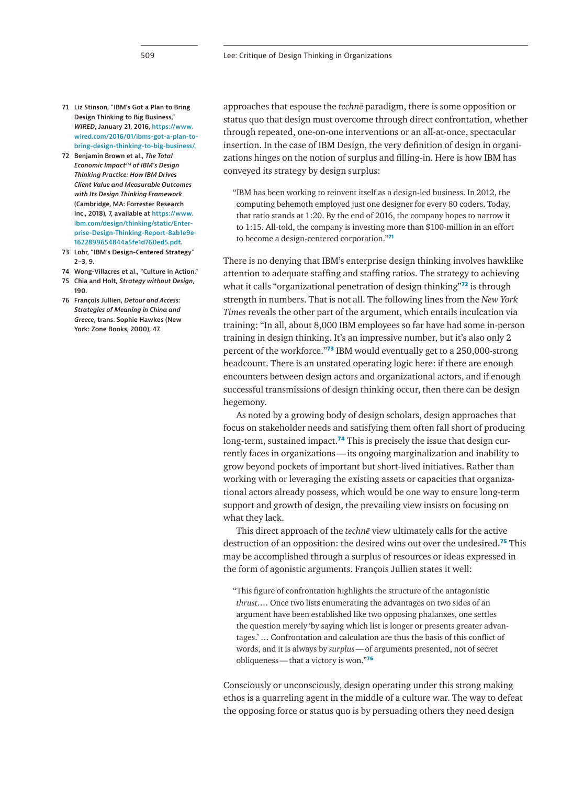- 
- <span id="page-12-0"></span>**71 Liz Stinson, "IBM's Got a Plan to Bring Design Thinking to Big Business,"**  *WIRED***, January 21, 2016, [https://www.](https://www.wired.com/2016/01/ibms-got-a-plan-to-bring-design-thinking-to-big-business/) [wired.com/2016/01/ibms-got-a-plan-to](https://www.wired.com/2016/01/ibms-got-a-plan-to-bring-design-thinking-to-big-business/)[bring-design-thinking-to-big-business/](https://www.wired.com/2016/01/ibms-got-a-plan-to-bring-design-thinking-to-big-business/).**
- <span id="page-12-1"></span>**72 Benjamin Brown et al.,** *The Total Economic ImpactTM of IBM's Design Thinking Practice: How IBM Drives Client Value and Measurable Outcomes with Its Design Thinking Framework*  **(Cambridge, MA: Forrester Research Inc., 2018), 7, available at [https://www.](https://www.ibm.com/design/thinking/static/Enterprise-Design-Thinking-Report-8ab1e9e1622899654844a5fe1d760ed5.pdf) [ibm.com/design/thinking/static/Enter](https://www.ibm.com/design/thinking/static/Enterprise-Design-Thinking-Report-8ab1e9e1622899654844a5fe1d760ed5.pdf)[prise-Design-Thinking-Report-8ab1e9e-](https://www.ibm.com/design/thinking/static/Enterprise-Design-Thinking-Report-8ab1e9e1622899654844a5fe1d760ed5.pdf)[1622899654844a5fe1d760ed5.pdf](https://www.ibm.com/design/thinking/static/Enterprise-Design-Thinking-Report-8ab1e9e1622899654844a5fe1d760ed5.pdf).**
- <span id="page-12-2"></span>**73 Lohr, "IBM's Design-Centered Strategy" 2–3, 9.**
- <span id="page-12-3"></span>**74 Wong-Villacres et al., "Culture in Action."**
- <span id="page-12-4"></span>**75 Chia and Holt,** *Strategy without Design***, 190.**
- <span id="page-12-5"></span>**76 François Jullien,** *Detour and Access: Strategies of Meaning in China and Greece***, trans. Sophie Hawkes (New York: Zone Books, 2000), 47.**

approaches that espouse the *technē* paradigm, there is some opposition or status quo that design must overcome through direct confrontation, whether through repeated, one-on-one interventions or an all-at-once, spectacular insertion. In the case of IBM Design, the very definition of design in organizations hinges on the notion of surplus and filling-in. Here is how IBM has conveyed its strategy by design surplus:

"IBM has been working to reinvent itself as a design-led business. In 2012, the computing behemoth employed just one designer for every 80 coders. Today, that ratio stands at 1:20. By the end of 2016, the company hopes to narrow it to 1:15. All-told, the company is investing more than \$100-million in an effort to become a design-centered corporation."**[71](#page-12-0)**

There is no denying that IBM's enterprise design thinking involves hawklike attention to adequate staffing and staffing ratios. The strategy to achieving what it calls "organizational penetration of design thinking"**[72](#page-12-1)** is through strength in numbers. That is not all. The following lines from the *New York Times* reveals the other part of the argument, which entails inculcation via training: "In all, about 8,000 IBM employees so far have had some in-person training in design thinking. It's an impressive number, but it's also only 2 percent of the workforce."**[73](#page-12-2)** IBM would eventually get to a 250,000-strong headcount. There is an unstated operating logic here: if there are enough encounters between design actors and organizational actors, and if enough successful transmissions of design thinking occur, then there can be design hegemony.

As noted by a growing body of design scholars, design approaches that focus on stakeholder needs and satisfying them often fall short of producing long-term, sustained impact.**[74](#page-12-3)** This is precisely the issue that design currently faces in organizations—its ongoing marginalization and inability to grow beyond pockets of important but short-lived initiatives. Rather than working with or leveraging the existing assets or capacities that organizational actors already possess, which would be one way to ensure long-term support and growth of design, the prevailing view insists on focusing on what they lack.

This direct approach of the *technē* view ultimately calls for the active destruction of an opposition: the desired wins out over the undesired.**[75](#page-12-4)** This may be accomplished through a surplus of resources or ideas expressed in the form of agonistic arguments. François Jullien states it well:

"This figure of confrontation highlights the structure of the antagonistic *thrust*.… Once two lists enumerating the advantages on two sides of an argument have been established like two opposing phalanxes, one settles the question merely 'by saying which list is longer or presents greater advantages.' … Confrontation and calculation are thus the basis of this conflict of words, and it is always by *surplus*—of arguments presented, not of secret obliqueness—that a victory is won."**[76](#page-12-5)**

Consciously or unconsciously, design operating under this strong making ethos is a quarreling agent in the middle of a culture war. The way to defeat the opposing force or status quo is by persuading others they need design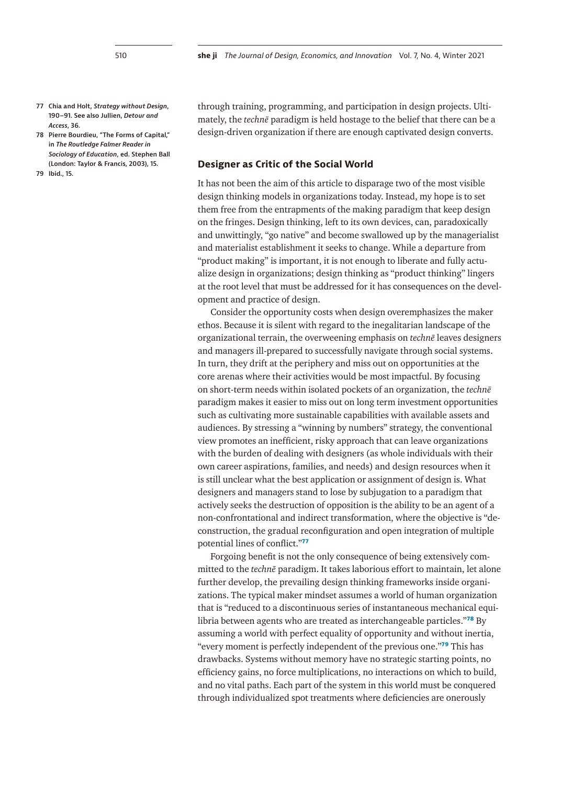- <span id="page-13-0"></span>**77 Chia and Holt,** *Strategy without Design***, 190–91. See also Jullien,** *Detour and Access***, 36.**
- <span id="page-13-1"></span>**78 Pierre Bourdieu, "The Forms of Capital," in** *The Routledge Falmer Reader in Sociology of Education***, ed. Stephen Ball (London: Taylor & Francis, 2003), 15.**
- <span id="page-13-2"></span>**79 Ibid., 15.**

through training, programming, and participation in design projects. Ultimately, the *technē* paradigm is held hostage to the belief that there can be a design-driven organization if there are enough captivated design converts.

# **Designer as Critic of the Social World**

It has not been the aim of this article to disparage two of the most visible design thinking models in organizations today. Instead, my hope is to set them free from the entrapments of the making paradigm that keep design on the fringes. Design thinking, left to its own devices, can, paradoxically and unwittingly, "go native" and become swallowed up by the managerialist and materialist establishment it seeks to change. While a departure from "product making" is important, it is not enough to liberate and fully actualize design in organizations; design thinking as "product thinking" lingers at the root level that must be addressed for it has consequences on the development and practice of design.

Consider the opportunity costs when design overemphasizes the maker ethos. Because it is silent with regard to the inegalitarian landscape of the organizational terrain, the overweening emphasis on *technē* leaves designers and managers ill-prepared to successfully navigate through social systems. In turn, they drift at the periphery and miss out on opportunities at the core arenas where their activities would be most impactful. By focusing on short-term needs within isolated pockets of an organization, the *technē* paradigm makes it easier to miss out on long term investment opportunities such as cultivating more sustainable capabilities with available assets and audiences. By stressing a "winning by numbers" strategy, the conventional view promotes an inefficient, risky approach that can leave organizations with the burden of dealing with designers (as whole individuals with their own career aspirations, families, and needs) and design resources when it is still unclear what the best application or assignment of design is. What designers and managers stand to lose by subjugation to a paradigm that actively seeks the destruction of opposition is the ability to be an agent of a non-confrontational and indirect transformation, where the objective is "deconstruction, the gradual reconfiguration and open integration of multiple potential lines of conflict."**[77](#page-13-0)**

Forgoing benefit is not the only consequence of being extensively committed to the *technē* paradigm. It takes laborious effort to maintain, let alone further develop, the prevailing design thinking frameworks inside organizations. The typical maker mindset assumes a world of human organization that is "reduced to a discontinuous series of instantaneous mechanical equilibria between agents who are treated as interchangeable particles."**[78](#page-13-1)** By assuming a world with perfect equality of opportunity and without inertia, "every moment is perfectly independent of the previous one."**[79](#page-13-2)** This has drawbacks. Systems without memory have no strategic starting points, no efficiency gains, no force multiplications, no interactions on which to build, and no vital paths. Each part of the system in this world must be conquered through individualized spot treatments where deficiencies are onerously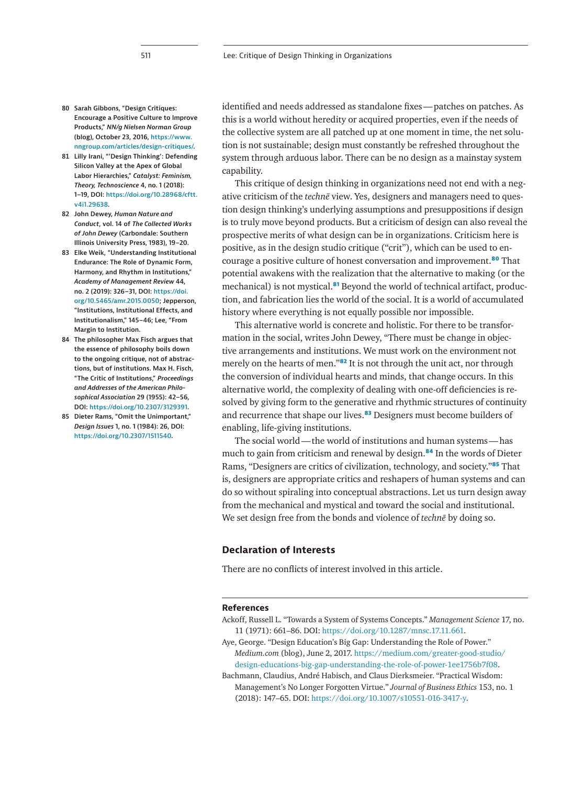- <span id="page-14-0"></span>**80 Sarah Gibbons, "Design Critiques: Encourage a Positive Culture to Improve Products,"** *NN/g Nielsen Norman Group* **(blog), October 23, 2016, [https://www.](https://www.nngroup.com/articles/design-critiques/) [nngroup.com/articles/design-critiques/.](https://www.nngroup.com/articles/design-critiques/)**
- <span id="page-14-1"></span>**81 Lilly Irani, "'Design Thinking': Defending Silicon Valley at the Apex of Global Labor Hierarchies,"** *Catalyst: Feminism, Theory, Technoscience* **4, no. 1 (2018): 1–19, DOI: [https://doi.org/10.28968/cftt.](https://doi.org/10.28968/cftt.v4i1.29638) [v4i1.29638](https://doi.org/10.28968/cftt.v4i1.29638).**
- <span id="page-14-2"></span>**82 John Dewey,** *Human Nature and Conduct***, vol. 14 of** *The Collected Works of John Dewey* **(Carbondale: Southern Illinois University Press, 1983), 19–20.**
- <span id="page-14-3"></span>**83 Elke Weik, "Understanding Institutional Endurance: The Role of Dynamic Form, Harmony, and Rhythm in Institutions,"**  *Academy of Management Review* **44, no. 2 (2019): 326–31, DOI: [https://doi.](https://doi.org/10.5465/amr.2015.0050) [org/10.5465/amr.2015.0050](https://doi.org/10.5465/amr.2015.0050); Jepperson, "Institutions, Institutional Effects, and Institutionalism," 145–46; Lee, "From Margin to Institution.**
- <span id="page-14-4"></span>**84 The philosopher Max Fisch argues that the essence of philosophy boils down to the ongoing critique, not of abstractions, but of institutions. Max H. Fisch, "The Critic of Institutions,"** *Proceedings and Addresses of the American Philosophical Association* **29 (1955): 42–56, DOI: [https://doi.org/10.2307/3129391.](https://doi.org/10.2307/3129391)**
- <span id="page-14-5"></span>**85 Dieter Rams, "Omit the Unimportant,"**  *Design Issues* **1, no. 1 (1984): 26, DOI: <https://doi.org/10.2307/1511540>.**

identified and needs addressed as standalone fixes—patches on patches. As this is a world without heredity or acquired properties, even if the needs of the collective system are all patched up at one moment in time, the net solution is not sustainable; design must constantly be refreshed throughout the system through arduous labor. There can be no design as a mainstay system capability.

This critique of design thinking in organizations need not end with a negative criticism of the *technē* view. Yes, designers and managers need to question design thinking's underlying assumptions and presuppositions if design is to truly move beyond products. But a criticism of design can also reveal the prospective merits of what design can be in organizations. Criticism here is positive, as in the design studio critique ("crit"), which can be used to encourage a positive culture of honest conversation and improvement.**[80](#page-14-0)** That potential awakens with the realization that the alternative to making (or the mechanical) is not mystical.**[81](#page-14-1)** Beyond the world of technical artifact, production, and fabrication lies the world of the social. It is a world of accumulated history where everything is not equally possible nor impossible.

This alternative world is concrete and holistic. For there to be transformation in the social, writes John Dewey, "There must be change in objective arrangements and institutions. We must work on the environment not merely on the hearts of men."**[82](#page-14-2)** It is not through the unit act, nor through the conversion of individual hearts and minds, that change occurs. In this alternative world, the complexity of dealing with one-off deficiencies is resolved by giving form to the generative and rhythmic structures of continuity and recurrence that shape our lives.**[83](#page-14-3)** Designers must become builders of enabling, life-giving institutions.

The social world—the world of institutions and human systems—has much to gain from criticism and renewal by design.**[84](#page-14-4)** In the words of Dieter Rams, "Designers are critics of civilization, technology, and society."**[85](#page-14-5)** That is, designers are appropriate critics and reshapers of human systems and can do so without spiraling into conceptual abstractions. Let us turn design away from the mechanical and mystical and toward the social and institutional. We set design free from the bonds and violence of *technē* by doing so.

## **Declaration of Interests**

There are no conflicts of interest involved in this article.

## **References**

- Ackoff, Russell L. "Towards a System of Systems Concepts." *Management Science* 17, no. 11 (1971): 661–86. DOI: [https://doi.org/10.1287/mnsc.17.11.661.](https://doi.org/10.1287/mnsc.17.11.661)
- Aye, George. "Design Education's Big Gap: Understanding the Role of Power." *Medium.com* (blog), June 2, 2017. [https://medium.com/greater-good-studio/](https://medium.com/greater-good-studio/design-educations-big-gap-understanding-the-role-of-power-1ee1756b7f08) [design-educations-big-gap-understanding-the-role-of-power-1ee1756b7f08](https://medium.com/greater-good-studio/design-educations-big-gap-understanding-the-role-of-power-1ee1756b7f08).
- Bachmann, Claudius, André Habisch, and Claus Dierksmeier. "Practical Wisdom: Management's No Longer Forgotten Virtue." *Journal of Business Ethics* 153, no. 1 (2018): 147–65. DOI: <https://doi.org/10.1007/s10551-016-3417-y>.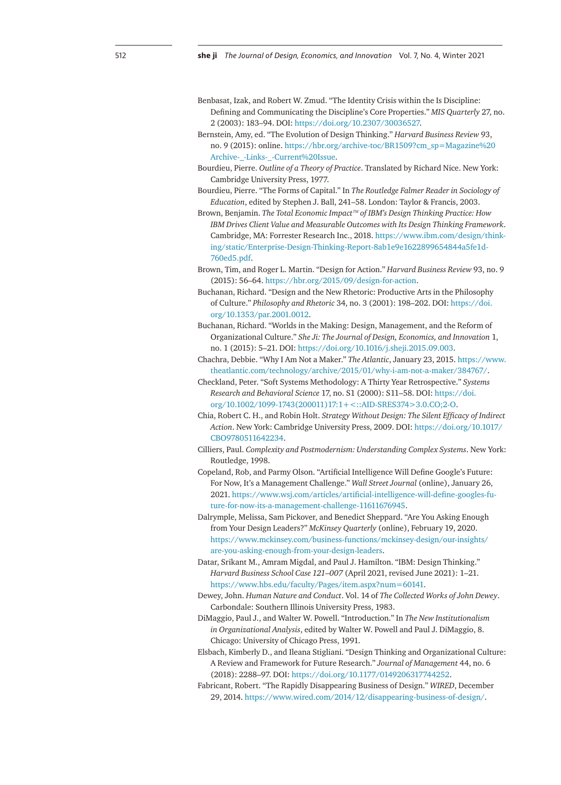- Benbasat, Izak, and Robert W. Zmud. "The Identity Crisis within the Is Discipline: Defining and Communicating the Discipline's Core Properties." *MIS Quarterly* 27, no. 2 (2003): 183–94. DOI:<https://doi.org/10.2307/30036527>.
- Bernstein, Amy, ed. "The Evolution of Design Thinking." *Harvard Business Review* 93, no. 9 (2015): online. [https://hbr.org/archive-toc/BR1509?cm\\_sp=Magazine%20](https://hbr.org/archive-toc/BR1509?cm_sp=Magazine%20Archive-_-Links-_-Current%20Issue) [Archive-\\_-Links-\\_-Current%20Issue](https://hbr.org/archive-toc/BR1509?cm_sp=Magazine%20Archive-_-Links-_-Current%20Issue).
- Bourdieu, Pierre. *Outline of a Theory of Practice*. Translated by Richard Nice. New York: Cambridge University Press, 1977.
- Bourdieu, Pierre. "The Forms of Capital." In *The Routledge Falmer Reader in Sociology of Education*, edited by Stephen J. Ball, 241–58. London: Taylor & Francis, 2003.
- Brown, Benjamin. *The Total Economic Impact™ of IBM's Design Thinking Practice: How IBM Drives Client Value and Measurable Outcomes with Its Design Thinking Framework*. Cambridge, MA: Forrester Research Inc., 2018. [https://www.ibm.com/design/think](https://www.ibm.com/design/thinking/static/Enterprise-Design-Thinking-Report-8ab1e9e1622899654844a5fe1d760ed5.pdf)[ing/static/Enterprise-Design-Thinking-Report-8ab1e9e1622899654844a5fe1d-](https://www.ibm.com/design/thinking/static/Enterprise-Design-Thinking-Report-8ab1e9e1622899654844a5fe1d760ed5.pdf)[760ed5.pdf](https://www.ibm.com/design/thinking/static/Enterprise-Design-Thinking-Report-8ab1e9e1622899654844a5fe1d760ed5.pdf).
- Brown, Tim, and Roger L. Martin. "Design for Action." *Harvard Business Review* 93, no. 9 (2015): 56–64. [https://hbr.org/2015/09/design-for-action.](https://hbr.org/2015/09/design-for-action)
- Buchanan, Richard. "Design and the New Rhetoric: Productive Arts in the Philosophy of Culture." *Philosophy and Rhetoric* 34, no. 3 (2001): 198–202. DOI: [https://doi.](https://doi.org/10.1353/par.2001.0012) [org/10.1353/par.2001.0012](https://doi.org/10.1353/par.2001.0012).
- Buchanan, Richard. "Worlds in the Making: Design, Management, and the Reform of Organizational Culture." *She Ji: The Journal of Design, Economics, and Innovation* 1, no. 1 (2015): 5–21. DOI:<https://doi.org/10.1016/j.sheji.2015.09.003>.
- Chachra, Debbie. "Why I Am Not a Maker." *The Atlantic*, January 23, 2015. [https://www.](https://www.theatlantic.com/technology/archive/2015/01/why-i-am-not-a-maker/384767/) [theatlantic.com/technology/archive/2015/01/why-i-am-not-a-maker/384767/.](https://www.theatlantic.com/technology/archive/2015/01/why-i-am-not-a-maker/384767/)
- Checkland, Peter. "Soft Systems Methodology: A Thirty Year Retrospective." *Systems Research and Behavioral Science* 17, no. S1 (2000): S11–58. DOI: [https://doi.](https://doi.org/10.1002/1099-1743(200011)17:1+%3c::AID-SRES374%3e3.0.CO;2-O) [org/10.1002/1099-1743\(200011\)17:1+<::AID-SRES374>3.0.CO;2-O](https://doi.org/10.1002/1099-1743(200011)17:1+%3c::AID-SRES374%3e3.0.CO;2-O).
- Chia, Robert C. H., and Robin Holt. *Strategy Without Design: The Silent Efficacy of Indirect Action*. New York: Cambridge University Press, 2009. DOI: [https://doi.org/10.1017/](https://doi.org/10.1017/CBO9780511642234) [CBO9780511642234.](https://doi.org/10.1017/CBO9780511642234)
- Cilliers, Paul. *Complexity and Postmodernism: Understanding Complex Systems*. New York: Routledge, 1998.
- Copeland, Rob, and Parmy Olson. "Artificial Intelligence Will Define Google's Future: For Now, It's a Management Challenge." *Wall Street Journal* (online), January 26, 2021. [https://www.wsj.com/articles/artificial-intelligence-will-define-googles-fu](https://www.wsj.com/articles/artificial-intelligence-will-define-googles-future-for-now-its-a-management-challenge-11611676945)[ture-for-now-its-a-management-challenge-11611676945.](https://www.wsj.com/articles/artificial-intelligence-will-define-googles-future-for-now-its-a-management-challenge-11611676945)
- Dalrymple, Melissa, Sam Pickover, and Benedict Sheppard. "Are You Asking Enough from Your Design Leaders?" *McKinsey Quarterly* (online), February 19, 2020. [https://www.mckinsey.com/business-functions/mckinsey-design/our-insights/](https://www.mckinsey.com/business-functions/mckinsey-design/our-insights/are-you-asking-enough-from-your-design-leaders) [are-you-asking-enough-from-your-design-leaders.](https://www.mckinsey.com/business-functions/mckinsey-design/our-insights/are-you-asking-enough-from-your-design-leaders)
- Datar, Srikant M., Amram Migdal, and Paul J. Hamilton. "IBM: Design Thinking." *Harvard Business School Case 121–007* (April 2021, revised June 2021): 1–21. <https://www.hbs.edu/faculty/Pages/item.aspx?num=60141>.
- Dewey, John. *Human Nature and Conduct*. Vol. 14 of *The Collected Works of John Dewey*. Carbondale: Southern Illinois University Press, 1983.
- DiMaggio, Paul J., and Walter W. Powell. "Introduction." In *The New Institutionalism in Organizational Analysis*, edited by Walter W. Powell and Paul J. DiMaggio, 8. Chicago: University of Chicago Press, 1991.
- Elsbach, Kimberly D., and Ileana Stigliani. "Design Thinking and Organizational Culture: A Review and Framework for Future Research." *Journal of Management* 44, no. 6 (2018): 2288–97. DOI: [https://doi.org/10.1177/0149206317744252.](https://doi.org/10.1177/0149206317744252)
- Fabricant, Robert. "The Rapidly Disappearing Business of Design." *WIRED*, December 29, 2014.<https://www.wired.com/2014/12/disappearing-business-of-design/>.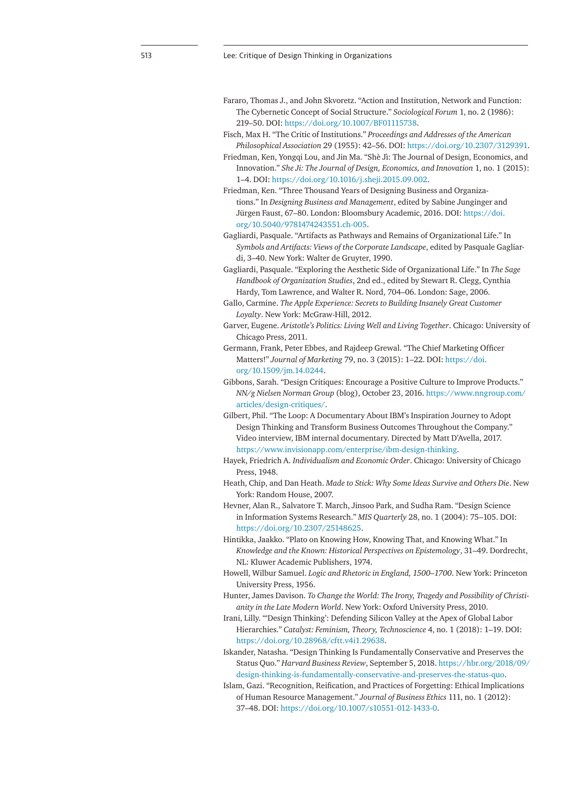- Fararo, Thomas J., and John Skvoretz. "Action and Institution, Network and Function: The Cybernetic Concept of Social Structure." *Sociological Forum* 1, no. 2 (1986): 219–50. DOI: <https://doi.org/10.1007/BF01115738>.
- Fisch, Max H. "The Critic of Institutions." *Proceedings and Addresses of the American Philosophical Association* 29 (1955): 42–56. DOI: <https://doi.org/10.2307/3129391>.
- Friedman, Ken, Yongqi Lou, and Jin Ma. "Shè Jì: The Journal of Design, Economics, and Innovation." *She Ji: The Journal of Design, Economics, and Innovation* 1, no. 1 (2015): 1–4. DOI: <https://doi.org/10.1016/j.sheji.2015.09.002>.
- Friedman, Ken. "Three Thousand Years of Designing Business and Organizations." In *Designing Business and Management*, edited by Sabine Junginger and Jürgen Faust, 67–80. London: Bloomsbury Academic, 2016. DOI: [https://doi.](https://doi.org/10.5040/9781474243551.ch-005) [org/10.5040/9781474243551.ch-005.](https://doi.org/10.5040/9781474243551.ch-005)
- Gagliardi, Pasquale. "Artifacts as Pathways and Remains of Organizational Life." In *Symbols and Artifacts: Views of the Corporate Landscape*, edited by Pasquale Gagliardi, 3–40. New York: Walter de Gruyter, 1990.
- Gagliardi, Pasquale. "Exploring the Aesthetic Side of Organizational Life." In *The Sage Handbook of Organization Studies*, 2nd ed., edited by Stewart R. Clegg, Cynthia Hardy, Tom Lawrence, and Walter R. Nord, 704–06. London: Sage, 2006.
- Gallo, Carmine. *The Apple Experience: Secrets to Building Insanely Great Customer Loyalty*. New York: McGraw-Hill, 2012.
- Garver, Eugene. *Aristotle's Politics: Living Well and Living Together*. Chicago: University of Chicago Press, 2011.
- Germann, Frank, Peter Ebbes, and Rajdeep Grewal. "The Chief Marketing Officer Matters!" *Journal of Marketing* 79, no. 3 (2015): 1–22. DOI: [https://doi.](https://doi.org/10.1509/jm.14.0244) [org/10.1509/jm.14.0244](https://doi.org/10.1509/jm.14.0244).
- Gibbons, Sarah. "Design Critiques: Encourage a Positive Culture to Improve Products." *NN/g Nielsen Norman Group* (blog), October 23, 2016. [https://www.nngroup.com/](https://www.nngroup.com/articles/design-critiques/) [articles/design-critiques/.](https://www.nngroup.com/articles/design-critiques/)
- Gilbert, Phil. "The Loop: A Documentary About IBM's Inspiration Journey to Adopt Design Thinking and Transform Business Outcomes Throughout the Company." Video interview, IBM internal documentary. Directed by Matt D'Avella, 2017. <https://www.invisionapp.com/enterprise/ibm-design-thinking>.
- Hayek, Friedrich A. *Individualism and Economic Order*. Chicago: University of Chicago Press, 1948.
- Heath, Chip, and Dan Heath. *Made to Stick: Why Some Ideas Survive and Others Die*. New York: Random House, 2007.
- Hevner, Alan R., Salvatore T. March, Jinsoo Park, and Sudha Ram. "Design Science in Information Systems Research." *MIS Quarterly* 28, no. 1 (2004): 75–105. DOI: <https://doi.org/10.2307/25148625>.
- Hintikka, Jaakko. "Plato on Knowing How, Knowing That, and Knowing What." In *Knowledge and the Known: Historical Perspectives on Epistemology*, 31–49. Dordrecht, NL: Kluwer Academic Publishers, 1974.
- Howell, Wilbur Samuel. *Logic and Rhetoric in England, 1500–1700*. New York: Princeton University Press, 1956.
- Hunter, James Davison. *To Change the World: The Irony, Tragedy and Possibility of Christianity in the Late Modern World*. New York: Oxford University Press, 2010.
- Irani, Lilly. "'Design Thinking': Defending Silicon Valley at the Apex of Global Labor Hierarchies." *Catalyst: Feminism, Theory, Technoscience* 4, no. 1 (2018): 1–19. DOI: [https://doi.org/10.28968/cftt.v4i1.29638.](https://doi.org/10.28968/cftt.v4i1.29638)
- Iskander, Natasha. "Design Thinking Is Fundamentally Conservative and Preserves the Status Quo." *Harvard Business Review*, September 5, 2018. [https://hbr.org/2018/09/](https://hbr.org/2018/09/design-thinking-is-fundamentally-conservative-and-preserves-the-status-quo) [design-thinking-is-fundamentally-conservative-and-preserves-the-status-quo](https://hbr.org/2018/09/design-thinking-is-fundamentally-conservative-and-preserves-the-status-quo).
- Islam, Gazi. "Recognition, Reification, and Practices of Forgetting: Ethical Implications of Human Resource Management." *Journal of Business Ethics* 111, no. 1 (2012): 37–48. DOI: [https://doi.org/10.1007/s10551-012-1433-0.](https://doi.org/10.1007/s10551-012-1433-0)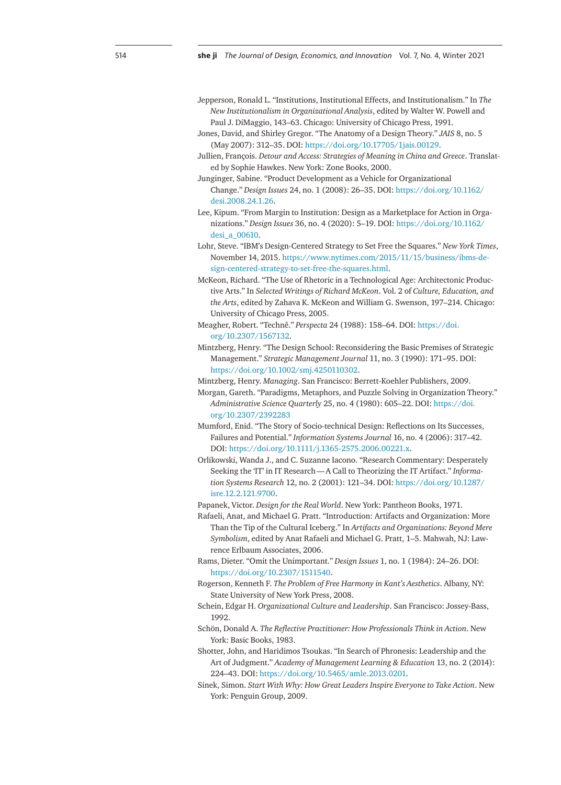- Jepperson, Ronald L. "Institutions, Institutional Effects, and Institutionalism." In *The New Institutionalism in Organizational Analysis*, edited by Walter W. Powell and Paul J. DiMaggio, 143–63. Chicago: University of Chicago Press, 1991.
- Jones, David, and Shirley Gregor. "The Anatomy of a Design Theory." *JAIS* 8, no. 5 (May 2007): 312–35. DOI: [https://doi.org/10.17705/1jais.00129.](https://doi.org/10.17705/1jais.00129)
- Jullien, François. *Detour and Access: Strategies of Meaning in China and Greece*. Translated by Sophie Hawkes. New York: Zone Books, 2000.
- Junginger, Sabine. "Product Development as a Vehicle for Organizational Change." *Design Issues* 24, no. 1 (2008): 26–35. DOI: [https://doi.org/10.1162/](https://doi.org/10.1162/desi.2008.24.1.26) [desi.2008.24.1.26](https://doi.org/10.1162/desi.2008.24.1.26).
- Lee, Kipum. "From Margin to Institution: Design as a Marketplace for Action in Organizations." *Design Issues* 36, no. 4 (2020): 5–19. DOI: [https://doi.org/10.1162/](https://doi.org/10.1162/desi_a_00610) [desi\\_a\\_00610](https://doi.org/10.1162/desi_a_00610).
- Lohr, Steve. "IBM's Design-Centered Strategy to Set Free the Squares." *New York Times*, November 14, 2015. [https://www.nytimes.com/2015/11/15/business/ibms-de](https://www.nytimes.com/2015/11/15/business/ibms-design-centered-strategy-to-set-free-the-squares.html)[sign-centered-strategy-to-set-free-the-squares.html](https://www.nytimes.com/2015/11/15/business/ibms-design-centered-strategy-to-set-free-the-squares.html).
- McKeon, Richard. "The Use of Rhetoric in a Technological Age: Architectonic Productive Arts." In *Selected Writings of Richard McKeon*. Vol. 2 of *Culture, Education, and the Arts*, edited by Zahava K. McKeon and William G. Swenson, 197–214. Chicago: University of Chicago Press, 2005.
- Meagher, Robert. "Technê." *Perspecta* 24 (1988): 158–64. DOI: [https://doi.](https://doi.org/10.2307/1567132) [org/10.2307/1567132.](https://doi.org/10.2307/1567132)
- Mintzberg, Henry. "The Design School: Reconsidering the Basic Premises of Strategic Management." *Strategic Management Journal* 11, no. 3 (1990): 171–95. DOI: [https://doi.org/10.1002/smj.4250110302.](https://doi.org/10.1002/smj.4250110302)
- Mintzberg, Henry. *Managing*. San Francisco: Berrett-Koehler Publishers, 2009.
- Morgan, Gareth. "Paradigms, Metaphors, and Puzzle Solving in Organization Theory." *Administrative Science Quarterly* 25, no. 4 (1980): 605–22. DOI: [https://doi.](https://doi.org/10.2307/2392283) [org/10.2307/2392283](https://doi.org/10.2307/2392283)
- Mumford, Enid. "The Story of Socio-technical Design: Reflections on Its Successes, Failures and Potential." *Information Systems Journal* 16, no. 4 (2006): 317–42. DOI: <https://doi.org/10.1111/j.1365-2575.2006.00221.x>.
- Orlikowski, Wanda J., and C. Suzanne Iacono. "Research Commentary: Desperately Seeking the 'IT' in IT Research—A Call to Theorizing the IT Artifact." *Information Systems Research* 12, no. 2 (2001): 121–34. DOI: [https://doi.org/10.1287/](https://doi.org/10.1287/isre.12.2.121.9700) [isre.12.2.121.9700](https://doi.org/10.1287/isre.12.2.121.9700).

Papanek, Victor. *Design for the Real World*. New York: Pantheon Books, 1971.

- Rafaeli, Anat, and Michael G. Pratt. "Introduction: Artifacts and Organization: More Than the Tip of the Cultural Iceberg." In *Artifacts and Organizations: Beyond Mere Symbolism*, edited by Anat Rafaeli and Michael G. Pratt, 1–5. Mahwah, NJ: Lawrence Erlbaum Associates, 2006.
- Rams, Dieter. "Omit the Unimportant." *Design Issues* 1, no. 1 (1984): 24–26. DOI: <https://doi.org/10.2307/1511540>.
- Rogerson, Kenneth F. *The Problem of Free Harmony in Kant's Aesthetics*. Albany, NY: State University of New York Press, 2008.
- Schein, Edgar H. *Organizational Culture and Leadership*. San Francisco: Jossey-Bass, 1992.
- Schön, Donald A. *The Reflective Practitioner: How Professionals Think in Action*. New York: Basic Books, 1983.
- Shotter, John, and Haridimos Tsoukas. "In Search of Phronesis: Leadership and the Art of Judgment." *Academy of Management Learning & Education* 13, no. 2 (2014): 224–43. DOI: <https://doi.org/10.5465/amle.2013.0201>.
- Sinek, Simon. *Start With Why: How Great Leaders Inspire Everyone to Take Action*. New York: Penguin Group, 2009.